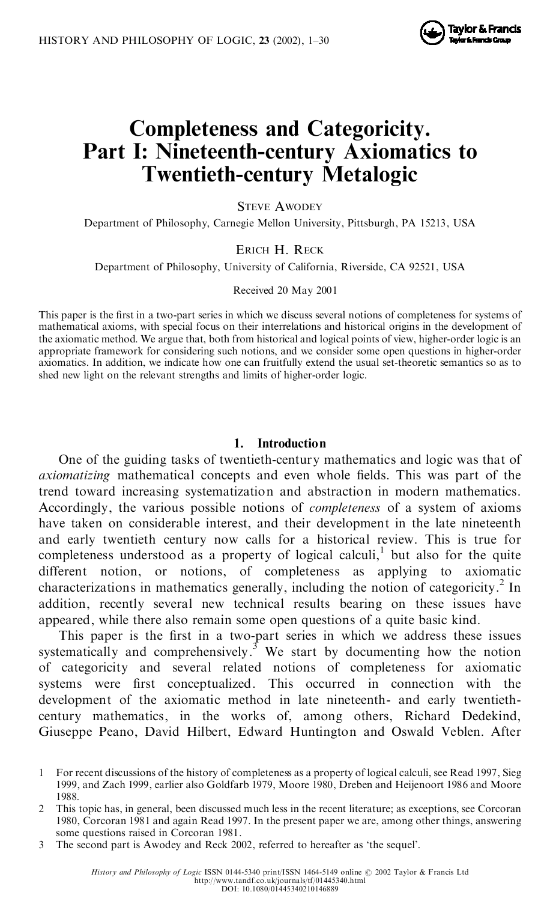

# **Completeness and Categoricity. Part I: Nineteenth-century Axiomatics to Twentieth-century Metalogic**

STEVE AWODEY

Department of Philosophy, Carnegie Mellon University, Pittsburgh, PA 15213, USA

#### ERICH H. RECK

Department of Philosophy, University of California, Riverside, CA 92521, USA

#### Received 20 May 2001

This paper is the first in a two-part series in which we discuss several notions of completeness for systems of mathematical axioms, with special focus on their interrelations and historical origins in the development of the axiomatic method. We argue that, both from historical and logical points of view, higher-order logic is an appropriate framework for considering such notions, and we consider some open questions in higher-order axiomatics. In addition, we indicate how one can fruitfully extend the usual set-theoretic semantics so as to shed new light on the relevant strengths and limits of higher-order logic.

#### **1. Introduction**

One of the guiding tasks of twentieth-century mathematics and logic was that of *axiomatizing* mathematical concepts and even whole fields. This was part of the trend toward increasing systematization and abstraction in modern mathematics. Accordingly, the various possible notions of *completeness* of a system of axioms have taken on considerable interest, and their development in the late nineteenth and early twentieth century now calls for a historical review. This is true for completeness understood as a property of logical calculi,<sup>1</sup> but also for the quite different notion, or notions, of completeness as applying to axiomatic characterizations in mathematics generally, including the notion of categoricity. <sup>2</sup> In addition, recently several new technical results bearing on these issues have appeared, while there also remain some open questions of a quite basic kind.

This paper is the first in a two-part series in which we address these issues systematically and comprehensively.<sup>3</sup> We start by documenting how the notion of categoricity and several related notions of completeness for axiomatic systems were first conceptualized. This occurred in connection with the development of the axiomatic method in late nineteenth- and early twentiethcentury mathematics, in the works of, among others, Richard Dedekind, Giuseppe Peano, David Hilbert, Edward Huntington and Oswald Veblen. After

<sup>1</sup> For recent discussions of the history of completeness as a property of logical calculi, see Read 1997, Sieg 1999, and Zach 1999, earlier also Goldfarb 1979, Moore 1980, Dreben and Heijenoort 1986 and Moore 1988.

<sup>2</sup> This topic has, in general, been discussed much less in the recent literature; as exceptions, see Corcoran 1980, Corcoran 1981 and again Read 1997. In the present paper we are, among other things, answering some questions raised in Corcoran 1981.

<sup>3</sup> The second part is Awodey and Reck 2002, referred to hereafter as `the sequel'.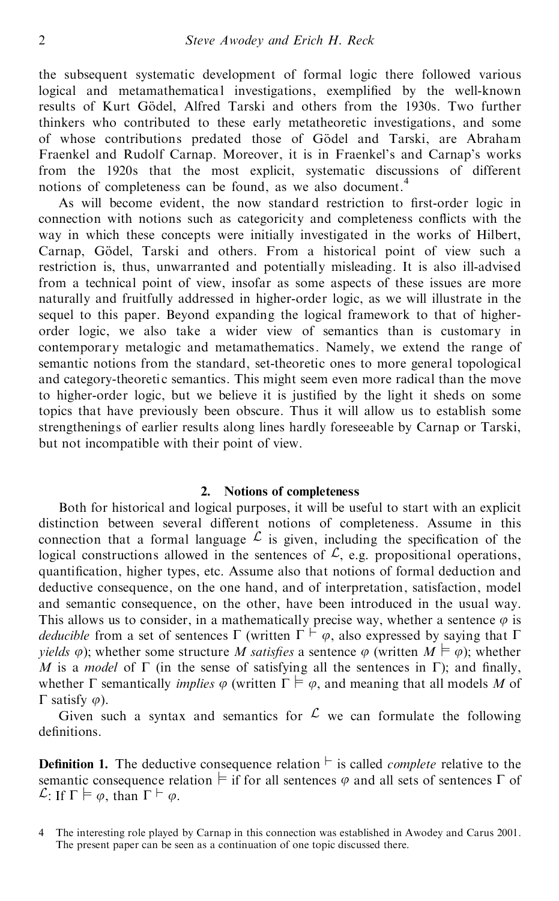the subsequent systematic development of formal logic there followed various logical and metamathematical investigations, exemplified by the well-known results of Kurt Gödel, Alfred Tarski and others from the 1930s. Two further thinkers who contributed to these early metatheoretic investigations, and some of whose contributions predated those of Gödel and Tarski, are Abraham Fraenkel and Rudolf Carnap. Moreover, it is in Fraenkel's and Carnap's works from the 1920s that the most explicit, systematic discussions of different notions of completeness can be found, as we also document. 4

As will become evident, the now standard restriction to first-order logic in connection with notions such as categoricity and completeness conflicts with the way in which these concepts were initially investigated in the works of Hilbert, Carnap, Gödel, Tarski and others. From a historical point of view such a restriction is, thus, unwarranted and potentially misleading. It is also ill-advised from a technical point of view, insofar as some aspects of these issues are more naturally and fruitfully addressed in higher-order logic, as we will illustrate in the sequel to this paper. Beyond expanding the logical framework to that of higherorder logic, we also take a wider view of semantics than is customary in contemporary metalogic and metamathematics. Namely, we extend the range of semantic notions from the standard, set-theoretic ones to more general topological and category-theoretic semantics. This might seem even more radical than the move to higher-order logic, but we believe it is justified by the light it sheds on some topics that have previously been obscure. Thus it will allow us to establish some strengthenings of earlier results along lines hardly foreseeable by Carnap or Tarski, but not incompatible with their point of view.

#### **2. Notions of completeness**

Both for historical and logical purposes, it will be useful to start with an explicit distinction between several different notions of completeness. Assume in this connection that a formal language  $\mathcal L$  is given, including the specification of the logical constructions allowed in the sentences of  $\mathcal{L}$ , e.g. propositional operations, quantification, higher types, etc. Assume also that notions of formal deduction and deductive consequence, on the one hand, and of interpretation, satisfaction, model and semantic consequence, on the other, have been introduced in the usual way. This allows us to consider, in a mathematically precise way, whether a sentence  $\varphi$  is *deducible* from a set of sentences  $\Gamma$  (written  $\Gamma \vdash \varphi$ , also expressed by saying that  $\Gamma$ *yields*  $\varphi$ ); whether some structure *M satisfies* a sentence  $\varphi$  (written  $M \models \varphi$ ); whether *M* is a *model* of  $\Gamma$  (in the sense of satisfying all the sentences in  $\Gamma$ ); and finally, whether  $\Gamma$  semantically *implies*  $\varphi$  (written  $\Gamma \models \varphi$ , and meaning that all models *M* of  $\Gamma$  satisfy  $\varphi$ ).

Given such a syntax and semantics for  $\mathcal{L}$  we can formulate the following definitions.

**Definition 1.** The deductive consequence relation  $\vdash$  is called *complete* relative to the semantic consequence relation  $\models$  if for all sentences  $\varphi$  and all sets of sentences  $\Gamma$  of  $\mathcal{L}$ : If  $\Gamma \models \varphi$ , than  $\Gamma \vdash \varphi$ .

<sup>4</sup> The interesting role played by Carnap in this connection was established in Awodey and Carus 2001. The present paper can be seen as a continuation of one topic discussed there.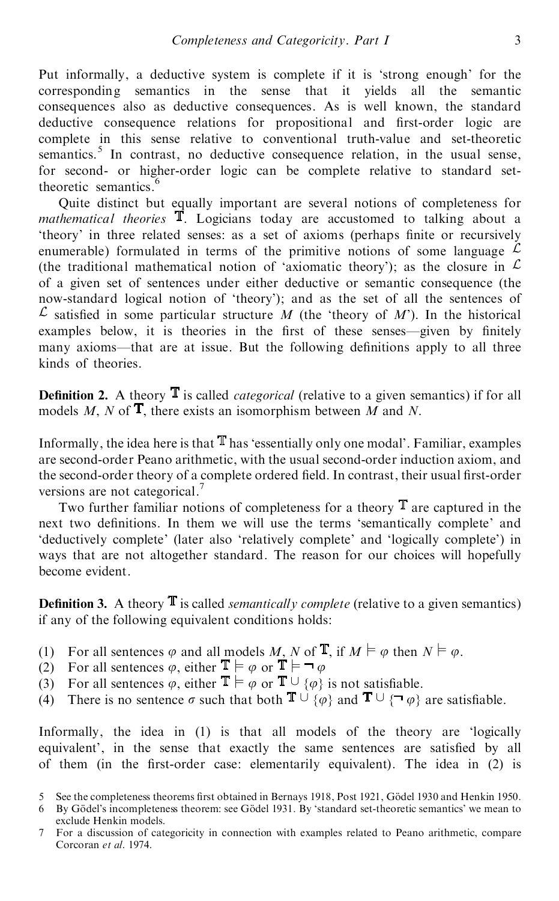Put informally, a deductive system is complete if it is `strong enough' for the corresponding semantics in the sense that it yields all the semantic consequences also as deductive consequences. As is well known, the standard deductive consequence relations for propositional and first-order logic are complete in this sense relative to conventional truth-value and set-theoretic semantics.<sup>5</sup> In contrast, no deductive consequence relation, in the usual sense, for second- or higher-order logic can be complete relative to standard settheoretic semantics. 6

Quite distinct but equally important are several notions of completeness for *mathematical theories* T. Logicians today are accustomed to talking about a 'theory' in three related senses: as a set of axioms (perhaps finite or recursively enumerable) formulated in terms of the primitive notions of some language  $\mathcal L$ (the traditional mathematical notion of 'axiomatic theory'); as the closure in  $\mathcal L$ of a given set of sentences under either deductive or semantic consequence (the now-standard logical notion of `theory'); and as the set of all the sentences of  $\mathcal L$  satisfied in some particular structure *M* (the 'theory of *M*'). In the historical examples below, it is theories in the first of these senses—given by finitely many axioms—that are at issue. But the following definitions apply to all three kinds of theories.

**Definition 2.** A theory  $\mathbb{T}$  is called *categorical* (relative to a given semantics) if for all models *M*, *N* of T, there exists an isomorphism between *M* and *N*.

Informally, the idea here is that  $\mathbb T$  has 'essentially only one modal'. Familiar, examples are second-order Peano arithmetic, with the usual second-order induction axiom, and the second-order theory of a complete ordered field. In contrast, their usual first-order versions are not categorical.<sup>7</sup>

Two further familiar notions of completeness for a theory  $\mathbb T$  are captured in the next two definitions. In them we will use the terms 'semantically complete' and `deductively complete' (later also `relatively complete' and `logically complete') in ways that are not altogether standard. The reason for our choices will hopefully become evident.

**Definition 3.** A theory  $\mathbb{T}$  is called *semantically complete* (relative to a given semantics) if any of the following equivalent conditions holds:

- (1) For all sentences  $\varphi$  and all models M, N of  $\mathbb{T}$ , if  $M \models \varphi$  then  $N \models \varphi$ .
- (2) For all sentences  $\varphi$ , either  $\mathbb{I} \models \varphi$  or  $\mathbb{I} \models \neg \varphi$
- (3) For all sentences  $\varphi$ , either  $\mathbb{T} \models \varphi$  or  $\mathbb{T} \cup \{\varphi\}$  is not satisfiable.
- (4) There is no sentence  $\sigma$  such that both  $\mathbb{T} \cup {\{\phi\}}$  and  $\mathbb{T} \cup {\{\neg \phi\}}$  are satisfiable.

Informally, the idea in (1) is that all models of the theory are `logically equivalent', in the sense that exactly the same sentences are satisfied by all of them (in the first-order case: elementarily equivalent). The idea in (2) is

5 See the completeness theorems first obtained in Bernays 1918, Post 1921, Gödel 1930 and Henkin 1950.

<sup>6</sup> By Gödel's incompleteness theorem: see Gödel 1931. By 'standard set-theoretic semantics' we mean to exclude Henkin models.

<sup>7</sup> For a discussion of categoricity in connection with examples related to Peano arithmetic, compare Corcoran *et al*. 1974.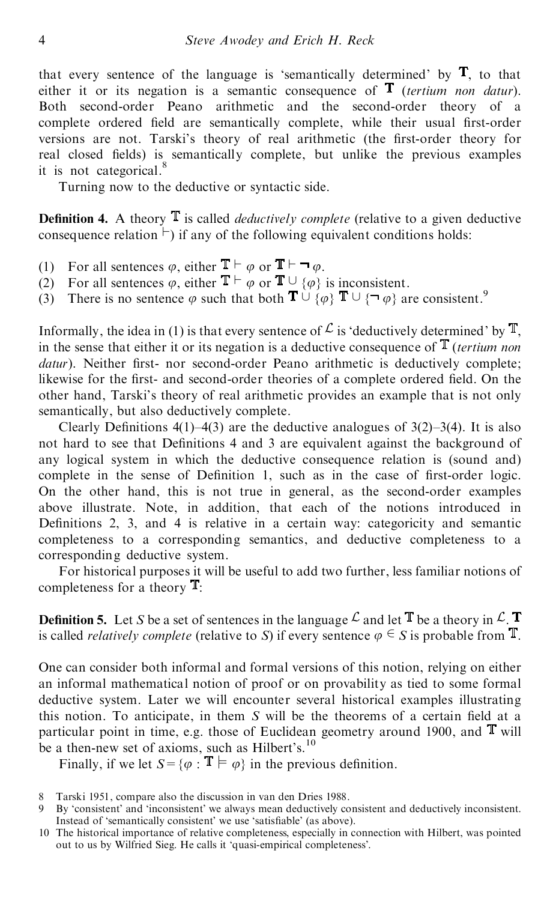that every sentence of the language is 'semantically determined' by  $T$ , to that either it or its negation is a semantic consequence of T (*tertium non datur*). Both second-order Peano arithmetic and the second-order theory of a complete ordered field are semantically complete, while their usual first-order versions are not. Tarski's theory of real arithmetic (the first-order theory for real closed fields) is semantically complete, but unlike the previous examples it is not categorical.<sup>8</sup>

Turning now to the deductive or syntactic side.

**Definition 4.** A theory  $\mathbb{T}$  is called *deductively complete* (relative to a given deductive consequence relation  $\vdash$ ) if any of the following equivalent conditions holds:

- (1) For all sentences  $\varphi$ , either  $\mathbb{T} \vdash \varphi$  or  $\mathbb{T} \vdash \neg \varphi$ .
- (2) For all sentences  $\varphi$ , either  $\mathbb{T} \vdash \varphi$  or  $\mathbb{T} \cup \{\varphi\}$  is inconsistent.
- (3) There is no sentence  $\varphi$  such that both  $\mathbf{T} \cup \{\varphi\} \mathbf{T} \cup \{\neg \varphi\}$  are consistent.

Informally, the idea in (1) is that every sentence of  $\mathcal L$  is 'deductively determined' by  $\mathbb T$ , in the sense that either it or its negation is a deductive consequence of T (*tertium non datur*). Neither first- nor second-order Peano arithmetic is deductively complete; likewise for the first- and second-order theories of a complete ordered field. On the other hand, Tarski's theory of real arithmetic provides an example that is not only semantically, but also deductively complete.

Clearly Definitions  $4(1)-4(3)$  are the deductive analogues of  $3(2)-3(4)$ . It is also not hard to see that Definitions 4 and 3 are equivalent against the background of any logical system in which the deductive consequence relation is (sound and) complete in the sense of Definition 1, such as in the case of first-order logic. On the other hand, this is not true in general, as the second-order examples above illustrate. Note, in addition, that each of the notions introduced in Definitions 2, 3, and 4 is relative in a certain way: categoricity and semantic completeness to a corresponding semantics, and deductive completeness to a corresponding deductive system.

For historical purposes it will be useful to add two further, less familiar notions of completeness for a theory  $\mathbb{T}$ :

**Definition 5.** Let *S* be a set of sentences in the language  $\mathcal{L}$  and let  $\mathbb{T}$  be a theory in  $\mathcal{L}$ .  $\mathbb{T}$ is called *relatively complete* (relative to *S*) if every sentence  $\varphi \in S$  is probable from  $\mathbb{T}$ .

One can consider both informal and formal versions of this notion, relying on either an informal mathematical notion of proof or on provability as tied to some formal deductive system. Later we will encounter several historical examples illustrating this notion. To anticipate, in them  $S$  will be the theorems of a certain field at a particular point in time, e.g. those of Euclidean geometry around 1900, and  $\mathbb T$  will be a then-new set of axioms, such as Hilbert's.<sup>10</sup>

Finally, if we let  $S = {\varphi : \mathbf{T} \models \varphi}$  in the previous definition.

<sup>8</sup> Tarski 1951, compare also the discussion in van den Dries 1988.

<sup>9</sup> By `consistent' and `inconsistent' we always mean deductively consistent and deductively inconsistent. Instead of 'semantically consistent' we use 'satisfiable' (as above).

<sup>10</sup> The historical importance of relative completeness, especially in connection with Hilbert, was pointed out to us by Wilfried Sieg. He calls it `quasi-empirical completeness'.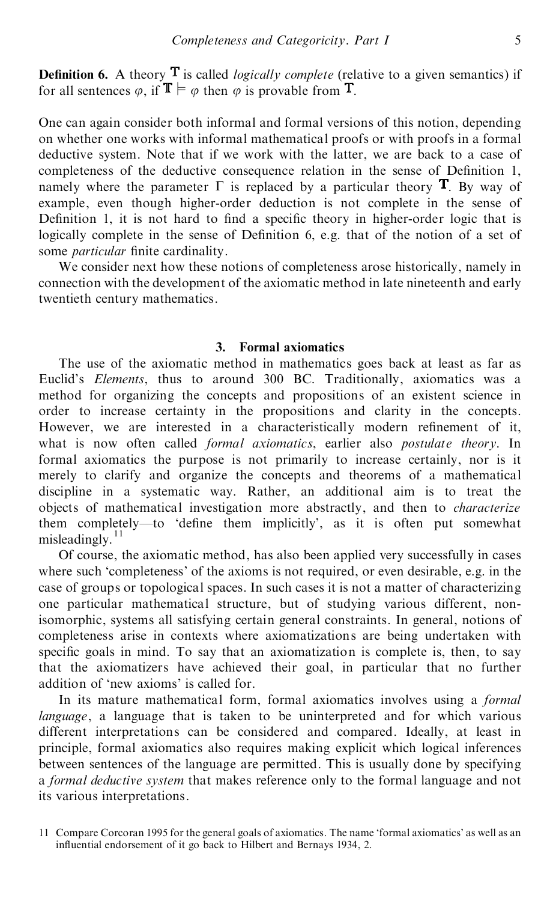**Definition 6.** A theory  $\mathbf{T}$  is called *logically complete* (relative to a given semantics) if for all sentences  $\varphi$ , if  $\mathbb{T} \models \varphi$  then  $\varphi$  is provable from  $\mathbb{T}$ .

One can again consider both informal and formal versions of this notion, depending on whether one works with informal mathematical proofs or with proofs in a formal deductive system. Note that if we work with the latter, we are back to a case of completeness of the deductive consequence relation in the sense of Definition 1, namely where the parameter  $\Gamma$  is replaced by a particular theory  $\mathbb{T}$ . By way of example, even though higher-order deduction is not complete in the sense of Definition 1, it is not hard to find a specific theory in higher-order logic that is logically complete in the sense of Definition 6, e.g. that of the notion of a set of some *particular* finite cardinality.

We consider next how these notions of completeness arose historically, namely in connection with the development of the axiomatic method in late nineteenth and early twentieth century mathematics.

# **3. Formal axiomatics**

The use of the axiomatic method in mathematics goes back at least as far as Euclid's *Elements*, thus to around 300 BC. Traditionally, axiomatics was a method for organizing the concepts and propositions of an existent science in order to increase certainty in the propositions and clarity in the concepts. However, we are interested in a characteristically modern refinement of it, what is now often called *formal axiomatics*, earlier also *postulate theory*. In formal axiomatics the purpose is not primarily to increase certainly, nor is it merely to clarify and organize the concepts and theorems of a mathematical discipline in a systematic way. Rather, an additional aim is to treat the objects of mathematical investigation more abstractly, and then to *characterize* them completely—to 'define them implicitly', as it is often put somewhat misleadingly.<sup>11</sup>

Of course, the axiomatic method, has also been applied very successfully in cases where such 'completeness' of the axioms is not required, or even desirable, e.g. in the case of groups or topological spaces. In such cases it is not a matter of characterizing one particular mathematical structure, but of studying various different, nonisomorphic, systems all satisfying certain general constraints. In general, notions of completeness arise in contexts where axiomatizations are being undertaken with specific goals in mind. To say that an axiomatization is complete is, then, to say that the axiomatizers have achieved their goal, in particular that no further addition of `new axioms' is called for.

In its mature mathematical form, formal axiomatics involves using a *formal language*, a language that is taken to be uninterpreted and for which various different interpretations can be considered and compared. Ideally, at least in principle, formal axiomatics also requires making explicit which logical inferences between sentences of the language are permitted. This is usually done by specifying a *formal deductive system* that makes reference only to the formal language and not its various interpretations.

<sup>11</sup> Compare Corcoran 1995 for the general goals of axiomatics. The name `formal axiomatics' as well as an influential endorsement of it go back to Hilbert and Bernays 1934, 2.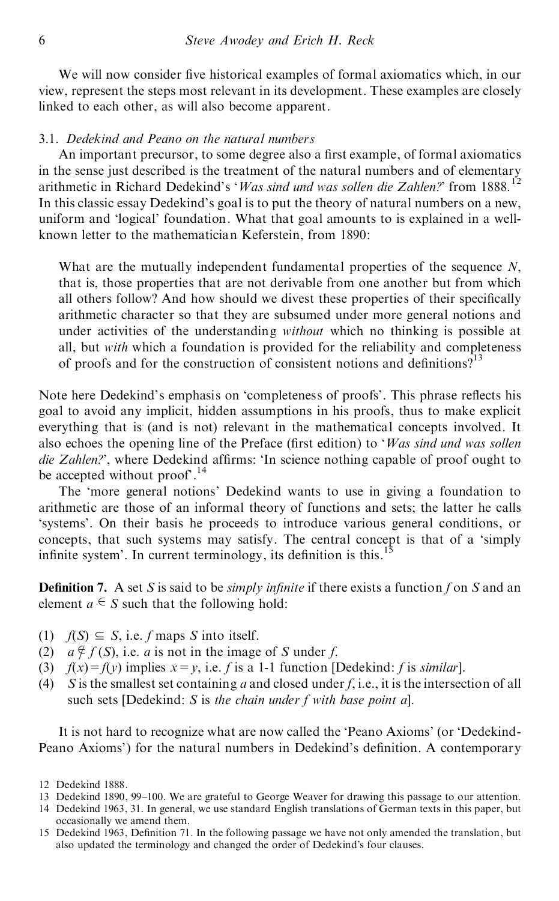We will now consider five historical examples of formal axiomatics which, in our view, represent the steps most relevant in its development. These examples are closely linked to each other, as will also become apparent.

#### 3.1. *Dedekind and Peano on the natural numbers*

An important precursor, to some degree also a first example, of formal axiomatics in the sense just described is the treatment of the natural numbers and of elementary arithmetic in Richard Dedekind's `*Was sind und was sollen die Zahlen?*' from 1888.<sup>12</sup> In this classic essay Dedekind's goal is to put the theory of natural numbers on a new, uniform and 'logical' foundation. What that goal amounts to is explained in a wellknown letter to the mathematician Keferstein, from 1890:

What are the mutually independent fundamental properties of the sequence *N*, that is, those properties that are not derivable from one another but from which all others follow? And how should we divest these properties of their specifically arithmetic character so that they are subsumed under more general notions and under activities of the understanding *without* which no thinking is possible at all, but *with* which a foundation is provided for the reliability and completeness of proofs and for the construction of consistent notions and definitions?<sup>13</sup>

Note here Dedekind's emphasis on 'completeness of proofs'. This phrase reflects his goal to avoid any implicit, hidden assumptions in his proofs, thus to make explicit everything that is (and is not) relevant in the mathematical concepts involved. It also echoes the opening line of the Preface (first edition) to *`Was sind und was sollen die Zahlen?*', where Dedekind affirms: 'In science nothing capable of proof ought to be accepted without proof.<sup>14</sup>

The `more general notions' Dedekind wants to use in giving a foundation to arithmetic are those of an informal theory of functions and sets; the latter he calls `systems'. On their basis he proceeds to introduce various general conditions, or concepts, that such systems may satisfy. The central concept is that of a `simply infinite system'. In current terminology, its definition is this.<sup>15</sup>

**Definition 7.** A set *S* is said to be *simply infinite* if there exists a function  $f$  on  $S$  and an element  $a \in S$  such that the following hold:

- (1)  $f(S) \subseteq S$ , i.e. *f* maps *S* into itself.
- (2)  $a \notin f(S)$ , i.e. *a* is not in the image of *S* under *f*.
- (3)  $f(x) = f(y)$  implies  $x = y$ , i.e. *f* is a 1-1 function [Dedekind: *f* is *similar*].
- (4) *S* is the smallest set containing *a* and closed under *f*, i.e., it is the intersection of all such sets [Dedekind: *S* is *the chain under f with base point a*].

It is not hard to recognize what are now called the `Peano Axioms' (or `Dedekind-Peano Axioms') for the natural numbers in Dedekind's definition. A contemporary

13 Dedekind 1890, 99-100. We are grateful to George Weaver for drawing this passage to our attention.

<sup>12</sup> Dedekind 1888.

<sup>14</sup> Dedekind 1963, 31. In general, we use standard English translations of German texts in this paper, but occasionally we amend them.

<sup>15</sup> Dedekind 1963, Definition 71. In the following passage we have not only amended the translation, but also updated the terminology and changed the order of Dedekind's four clauses.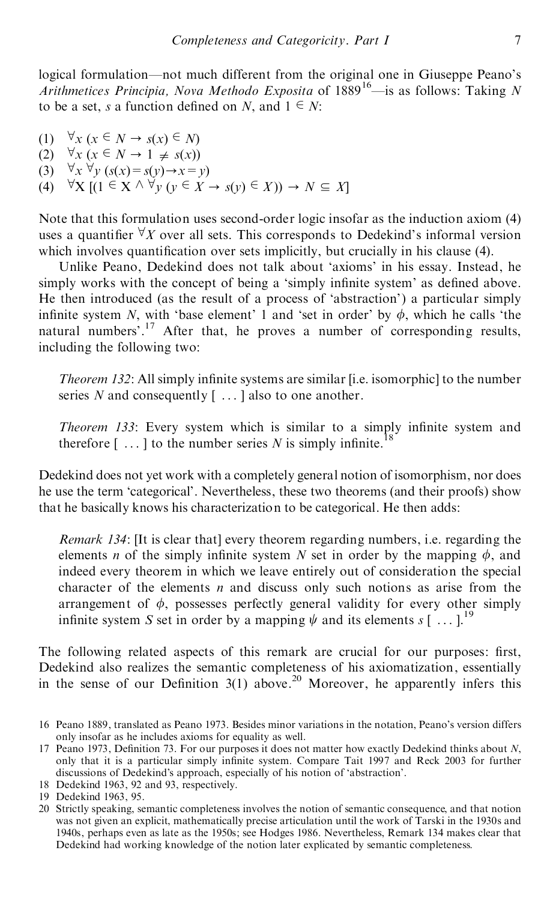logical formulation—not much different from the original one in Giuseppe Peano's *Arithmetices Principia, Nova Methodo Exposita* of 1889<sup>16</sup> Ðis as follows: Taking *N* to be a set, *s* a function defined on *N*, and  $1 \in N$ :

- (1)  $\forall x \ (x \in N \rightarrow s(x) \in N)$
- $(x^2)$   $\forall x \ (x \in N \rightarrow 1 \neq s(x))$
- (3)  $\forall x \forall y (s(x)=s(y) \rightarrow x=y)$
- (4)  $\forall$ **X**  $[(1 \in X \land \forall y \ (y \in X \rightarrow s(y) \in X)) \rightarrow N \subseteq X]$

Note that this formulation uses second-order logic insofar as the induction axiom (4) uses a quantifier  $\forall X$  over all sets. This corresponds to Dedekind's informal version which involves quantification over sets implicitly, but crucially in his clause  $(4)$ .

Unlike Peano, Dedekind does not talk about `axioms' in his essay. Instead, he simply works with the concept of being a 'simply infinite system' as defined above. He then introduced (as the result of a process of `abstraction') a particular simply infinite system *N*, with 'base element' 1 and 'set in order' by  $\phi$ , which he calls 'the natural numbers<sup>'.17</sup> After that, he proves a number of corresponding results, including the following two:

*Theorem 132*: All simply infinite systems are similar [i.e. isomorphic] to the number series *N* and consequently [ ... ] also to one another.

*Theorem 133*: Every system which is similar to a simply infinite system and therefore  $[\dots]$  to the number series *N* is simply infinite.<sup>18</sup>

Dedekind does not yet work with a completely general notion of isomorphism, nor does he use the term `categorical'. Nevertheless, these two theorems (and their proofs) show that he basically knows his characterization to be categorical. He then adds:

*Remark 134*: [It is clear that] every theorem regarding numbers, i.e. regarding the elements *n* of the simply infinite system *N* set in order by the mapping  $\phi$ , and indeed every theorem in which we leave entirely out of consideration the special character of the elements *n* and discuss only such notions as arise from the arrangement of  $\phi$ , possesses perfectly general validity for every other simply infinite system *S* set in order by a mapping  $\psi$  and its elements *s* [ ... ].<sup>19</sup>

The following related aspects of this remark are crucial for our purposes: first, Dedekind also realizes the semantic completeness of his axiomatization, essentially in the sense of our Definition 3(1) above.<sup>20</sup> Moreover, he apparently infers this

18 Dedekind 1963, 92 and 93, respectively.

<sup>16</sup> Peano 1889, translated as Peano 1973. Besides minor variations in the notation, Peano's version differs only insofar as he includes axioms for equality as well.

<sup>17</sup> Peano 1973, Definition 73. For our purposes it does not matter how exactly Dedekind thinks about N, only that it is a particular simply infinite system. Compare Tait 1997 and Reck 2003 for further discussions of Dedekind's approach, especially of his notion of `abstraction'.

<sup>19</sup> Dedekind 1963, 95.

<sup>20</sup> Strictly speaking, semantic completeness involves the notion of semantic consequence, and that notion was not given an explicit, mathematically precise articulation until the work of Tarski in the 1930s and 1940s, perhaps even as late as the 1950s; see Hodges 1986. Nevertheless, Remark 134 makes clear that Dedekind had working knowledge of the notion later explicated by semantic completeness.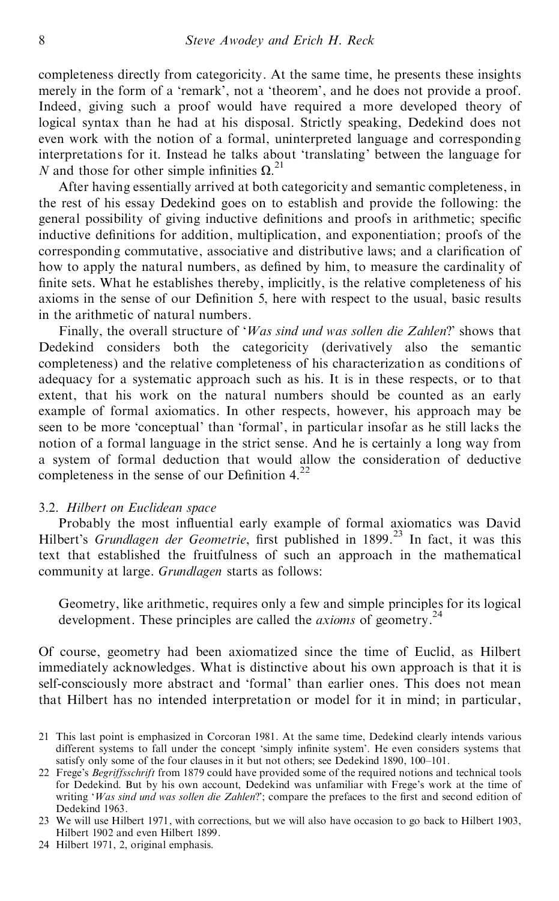completeness directly from categoricity. At the same time, he presents these insights merely in the form of a 'remark', not a 'theorem', and he does not provide a proof. Indeed, giving such a proof would have required a more developed theory of logical syntax than he had at his disposal. Strictly speaking, Dedekind does not even work with the notion of a formal, uninterpreted language and corresponding interpretations for it. Instead he talks about `translating' between the language for *N* and those for other simple infinities  $\Omega$ .<sup>21</sup>

After having essentially arrived at both categoricity and semantic completeness, in the rest of his essay Dedekind goes on to establish and provide the following: the general possibility of giving inductive definitions and proofs in arithmetic; specific inductive definitions for addition, multiplication, and exponentiation; proofs of the corresponding commutative, associative and distributive laws; and a clarification of how to apply the natural numbers, as defined by him, to measure the cardinality of finite sets. What he establishes thereby, implicitly, is the relative completeness of his axioms in the sense of our Definition 5, here with respect to the usual, basic results in the arithmetic of natural numbers.

Finally, the overall structure of `*Was sind und was sollen die Zahlen*?' shows that Dedekind considers both the categoricity (derivatively also the semantic completeness) and the relative completeness of his characterization as conditions of adequacy for a systematic approach such as his. It is in these respects, or to that extent, that his work on the natural numbers should be counted as an early example of formal axiomatics. In other respects, however, his approach may be seen to be more 'conceptual' than 'formal', in particular insofar as he still lacks the notion of a formal language in the strict sense. And he is certainly a long way from a system of formal deduction that would allow the consideration of deductive completeness in the sense of our Definition 4.<sup>22</sup>

## 3.2. *Hilbert on Euclidean space*

Probably the most influential early example of formal axiomatics was David Hilbert's *Grundlagen der Geometrie*, first published in 1899.<sup>23</sup> In fact, it was this text that established the fruitfulness of such an approach in the mathematical community at large. *Grundlagen* starts as follows:

Geometry, like arithmetic, requires only a few and simple principles for its logical development. These principles are called the *axioms* of geometry. 24

Of course, geometry had been axiomatized since the time of Euclid, as Hilbert immediately acknowledges. What is distinctive about his own approach is that it is self-consciously more abstract and 'formal' than earlier ones. This does not mean that Hilbert has no intended interpretation or model for it in mind; in particular,

- 23 We will use Hilbert 1971, with corrections, but we will also have occasion to go back to Hilbert 1903, Hilbert 1902 and even Hilbert 1899.
- 24 Hilbert 1971, 2, original emphasis.

<sup>21</sup> This last point is emphasized in Corcoran 1981. At the same time, Dedekind clearly intends various different systems to fall under the concept 'simply infinite system'. He even considers systems that satisfy only some of the four clauses in it but not others; see Dedekind 1890, 100-101.

<sup>22</sup> Frege's *Begriffsschrift* from 1879 could have provided some of the required notions and technical tools for Dedekind. But by his own account, Dedekind was unfamiliar with Frege's work at the time of writing 'Was sind und was sollen die Zahlen?'; compare the prefaces to the first and second edition of Dedekind 1963.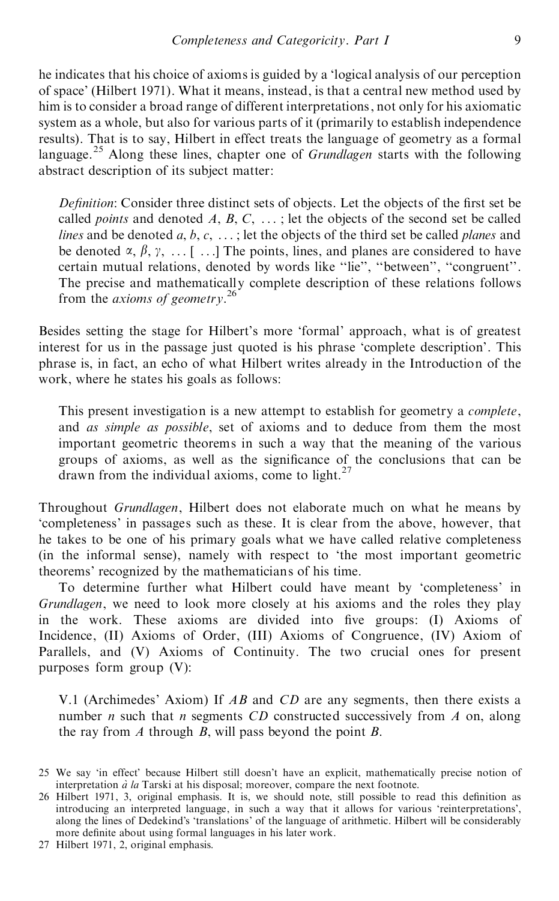he indicates that his choice of axioms is guided by a `logical analysis of our perception of space' (Hilbert 1971). What it means, instead, is that a central new method used by him is to consider a broad range of different interpretations, not only for his axiomatic system as a whole, but also for various parts of it (primarily to establish independence results). That is to say, Hilbert in effect treats the language of geometry as a formal language.<sup>25</sup> Along these lines, chapter one of *Grundlagen* starts with the following abstract description of its subject matter:

*Definition*: Consider three distinct sets of objects. Let the objects of the first set be called *points* and denoted  $A, B, C, \ldots$ ; let the objects of the second set be called *lines* and be denoted *a*, *b*, *c*, . . . ; let the objects of the third set be called *planes* and be denoted  $\alpha, \beta, \gamma, \ldots$  [...] The points, lines, and planes are considered to have certain mutual relations, denoted by words like "lie", "between", "congruent". The precise and mathematically complete description of these relations follows from the *axioms of geometry*. 26

Besides setting the stage for Hilbert's more `formal' approach, what is of greatest interest for us in the passage just quoted is his phrase 'complete description'. This phrase is, in fact, an echo of what Hilbert writes already in the Introduction of the work, where he states his goals as follows:

This present investigation is a new attempt to establish for geometry a *complete*, and *as simple as possible*, set of axioms and to deduce from them the most important geometric theorems in such a way that the meaning of the various groups of axioms, as well as the significance of the conclusions that can be drawn from the individual axioms, come to light. $27$ 

Throughout *Grundlagen*, Hilbert does not elaborate much on what he means by `completeness' in passages such as these. It is clear from the above, however, that he takes to be one of his primary goals what we have called relative completeness (in the informal sense), namely with respect to `the most important geometric theorems' recognized by the mathematicians of his time.

To determine further what Hilbert could have meant by `completeness' in *Grundlagen*, we need to look more closely at his axioms and the roles they play in the work. These axioms are divided into five groups: (I) Axioms of Incidence, (II) Axioms of Order, (III) Axioms of Congruence, (IV) Axiom of Parallels, and (V) Axioms of Continuity. The two crucial ones for present purposes form group (V):

V.1 (Archimedes' Axiom) If *AB* and *CD* are any segments, then there exists a number *n* such that *n* segments *CD* constructed successively from *A* on, along the ray from *A* through *B*, will pass beyond the point *B*.

<sup>25</sup> We say `in effect' because Hilbert still doesn't have an explicit, mathematically precise notion of interpretation *à la* Tarski at his disposal; moreover, compare the next footnote.

<sup>26</sup> Hilbert 1971, 3, original emphasis. It is, we should note, still possible to read this definition as introducing an interpreted language, in such a way that it allows for various `reinterpretations', along the lines of Dedekind's `translations' of the language of arithmetic. Hilbert will be considerably more definite about using formal languages in his later work.

<sup>27</sup> Hilbert 1971, 2, original emphasis.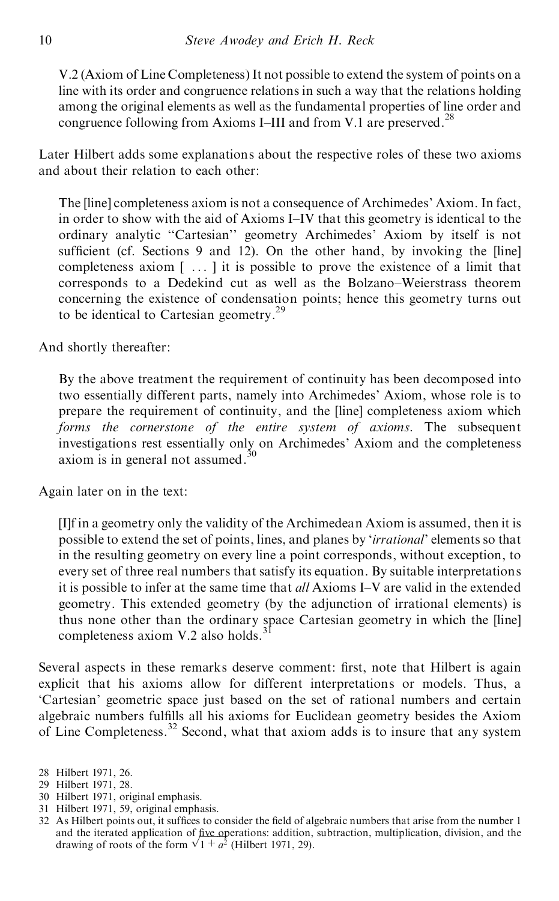V.2 (Axiom of Line Completeness)It not possible to extend the system of points on a line with its order and congruence relations in such a way that the relations holding among the original elements as well as the fundamental properties of line order and congruence following from Axioms I-III and from V.1 are preserved.<sup>28</sup>

Later Hilbert adds some explanations about the respective roles of these two axioms and about their relation to each other:

The [line] completeness axiom is not a consequence of Archimedes' Axiom. In fact, in order to show with the aid of Axioms I-IV that this geometry is identical to the ordinary analytic "Cartesian" geometry Archimedes' Axiom by itself is not sufficient (cf. Sections 9 and 12). On the other hand, by invoking the [line] completeness axiom  $\lceil \ldots \rceil$  it is possible to prove the existence of a limit that corresponds to a Dedekind cut as well as the Bolzano–Weierstrass theorem concerning the existence of condensation points; hence this geometry turns out to be identical to Cartesian geometry.<sup>29</sup>

And shortly thereafter:

By the above treatment the requirement of continuity has been decomposed into two essentially different parts, namely into Archimedes' Axiom, whose role is to prepare the requirement of continuity, and the [line] completeness axiom which *forms the cornerstone of the entire system of axioms*. The subsequent investigations rest essentially only on Archimedes' Axiom and the completeness axiom is in general not assumed.<sup>30</sup>

Again later on in the text:

[I]f in a geometry only the validity of the Archimedean Axiom is assumed, then it is possible to extend the set of points, lines, and planes by `*irrational*' elements so that in the resulting geometry on every line a point corresponds, without exception, to every set of three real numbers that satisfy its equation. By suitable interpretations it is possible to infer at the same time that *all* Axioms I–V are valid in the extended geometry. This extended geometry (by the adjunction of irrational elements) is thus none other than the ordinary space Cartesian geometry in which the [line] completeness axiom V.2 also holds.<sup>31</sup>

Several aspects in these remarks deserve comment: first, note that Hilbert is again explicit that his axioms allow for different interpretations or models. Thus, a `Cartesian' geometric space just based on the set of rational numbers and certain algebraic numbers fulfills all his axioms for Euclidean geometry besides the Axiom of Line Completeness.<sup>32</sup> Second, what that axiom adds is to insure that any system

- 30 Hilbert 1971, original emphasis.
- 31 Hilbert 1971, 59, original emphasis.

<sup>28</sup> Hilbert 1971, 26.

<sup>29</sup> Hilbert 1971, 28.

<sup>32</sup> As Hilbert points out, it suffices to consider the field of algebraic numbers that arise from the number 1 and the iterated application of <u>five op</u>erations: addition, subtraction, multiplication, division, and the and the herated application of <u>live op</u>erations: addition,<br>drawing of roots of the form  $\sqrt{1+a^2}$  (Hilbert 1971, 29).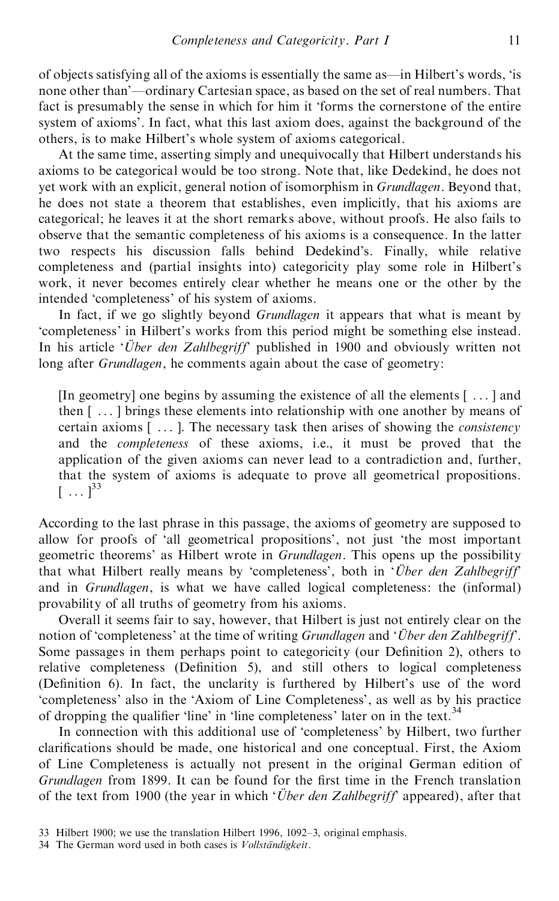of objects satisfying all of the axioms is essentially the same as—in Hilbert's words, 'is none other than'—ordinary Cartesian space, as based on the set of real numbers. That fact is presumably the sense in which for him it 'forms the cornerstone of the entire system of axioms'. In fact, what this last axiom does, against the background of the others, is to make Hilbert's whole system of axioms categorical.

At the same time, asserting simply and unequivocally that Hilbert understands his axioms to be categorical would be too strong. Note that, like Dedekind, he does not yet work with an explicit, general notion of isomorphism in *Grundlagen*. Beyond that, he does not state a theorem that establishes, even implicitly, that his axioms are categorical; he leaves it at the short remarks above, without proofs. He also fails to observe that the semantic completeness of his axioms is a consequence. In the latter two respects his discussion falls behind Dedekind's. Finally, while relative completeness and (partial insights into) categoricity play some role in Hilbert's work, it never becomes entirely clear whether he means one or the other by the intended `completeness' of his system of axioms.

In fact, if we go slightly beyond *Grundlagen* it appears that what is meant by `completeness' in Hilbert's works from this period might be something else instead. In his article `*UÈ ber den Zahlbegriff*' published in 1900 and obviously written not long after *Grundlagen*, he comments again about the case of geometry:

[In geometry] one begins by assuming the existence of all the elements  $[$  ... ] and then [ . . . ] brings these elements into relationship with one another by means of certain axioms [ . . . ]. The necessary task then arises of showing the *consistency* and the *completeness* of these axioms, i.e., it must be proved that the application of the given axioms can never lead to a contradiction and, further, that the system of axioms is adequate to prove all geometrical propositions.  $\left[ \ \ldots \ \right]^{33}$ 

According to the last phrase in this passage, the axioms of geometry are supposed to allow for proofs of `all geometrical propositions', not just `the most important geometric theorems' as Hilbert wrote in *Grundlagen*. This opens up the possibility that what Hilbert really means by `completeness', both in `*UÈ ber den Zahlbegriff*' and in *Grundlagen*, is what we have called logical completeness: the (informal) provability of all truths of geometry from his axioms.

Overall it seems fair to say, however, that Hilbert is just not entirely clear on the notion of 'completeness' at the time of writing *Grundlagen* and '*Über den Zahlbegriff*'. Some passages in them perhaps point to categoricity (our Definition 2), others to relative completeness (Definition 5), and still others to logical completeness (Definition 6). In fact, the unclarity is furthered by Hilbert's use of the word `completeness' also in the `Axiom of Line Completeness', as well as by his practice of dropping the qualifier 'line' in 'line completeness' later on in the text.<sup>34</sup>

In connection with this additional use of 'completeness' by Hilbert, two further clarifications should be made, one historical and one conceptual. First, the Axiom of Line Completeness is actually not present in the original German edition of *Grundlagen* from 1899. It can be found for the first time in the French translation of the text from 1900 (the year in which '*Über den Zahlbegriff*' appeared), after that

<sup>33</sup> Hilbert 1900; we use the translation Hilbert 1996, 1092-3, original emphasis.

<sup>34</sup> The German word used in both cases is *Vollständigkeit*.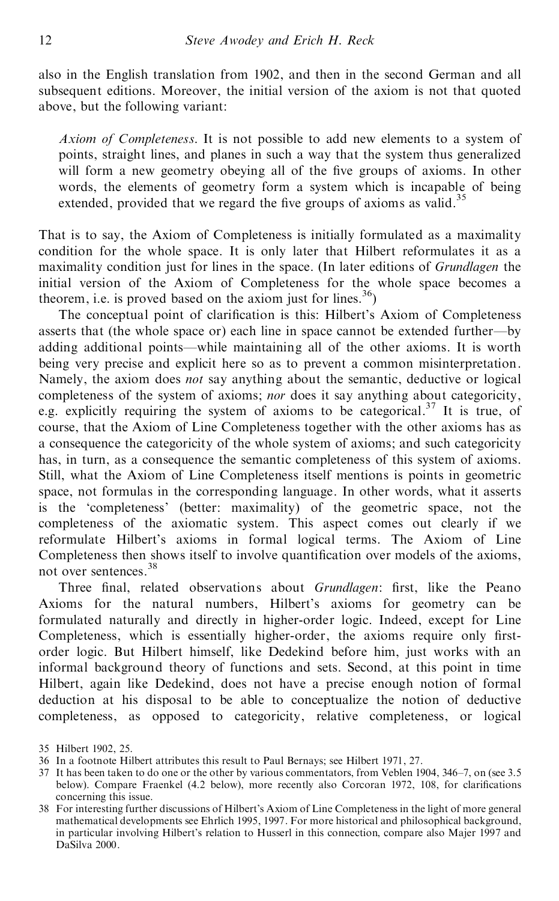also in the English translation from 1902, and then in the second German and all subsequent editions. Moreover, the initial version of the axiom is not that quoted above, but the following variant:

*Axiom of Completeness*. It is not possible to add new elements to a system of points, straight lines, and planes in such a way that the system thus generalized will form a new geometry obeying all of the five groups of axioms. In other words, the elements of geometry form a system which is incapable of being extended, provided that we regard the five groups of axioms as valid.<sup>35</sup>

That is to say, the Axiom of Completeness is initially formulated as a maximality condition for the whole space. It is only later that Hilbert reformulates it as a maximality condition just for lines in the space. (In later editions of *Grundlagen* the initial version of the Axiom of Completeness for the whole space becomes a theorem, i.e. is proved based on the axiom just for lines.<sup>36</sup>)

The conceptual point of clarification is this: Hilbert's Axiom of Completeness asserts that (the whole space or) each line in space cannot be extended further—by adding additional points—while maintaining all of the other axioms. It is worth being very precise and explicit here so as to prevent a common misinterpretation. Namely, the axiom does *not* say anything about the semantic, deductive or logical completeness of the system of axioms; *nor* does it say anything about categoricity, e.g. explicitly requiring the system of axioms to be categorical.<sup>37</sup> It is true, of course, that the Axiom of Line Completeness together with the other axioms has as a consequence the categoricity of the whole system of axioms; and such categoricity has, in turn, as a consequence the semantic completeness of this system of axioms. Still, what the Axiom of Line Completeness itself mentions is points in geometric space, not formulas in the corresponding language. In other words, what it asserts is the `completeness' (better: maximality) of the geometric space, not the completeness of the axiomatic system. This aspect comes out clearly if we reformulate Hilbert's axioms in formal logical terms. The Axiom of Line Completeness then shows itself to involve quantification over models of the axioms, not over sentences. 38

Three final, related observations about *Grundlagen*: first, like the Peano Axioms for the natural numbers, Hilbert's axioms for geometry can be formulated naturally and directly in higher-order logic. Indeed, except for Line Completeness, which is essentially higher-order, the axioms require only firstorder logic. But Hilbert himself, like Dedekind before him, just works with an informal background theory of functions and sets. Second, at this point in time Hilbert, again like Dedekind, does not have a precise enough notion of formal deduction at his disposal to be able to conceptualize the notion of deductive completeness, as opposed to categoricity, relative completeness, or logical

<sup>35</sup> Hilbert 1902, 25.

<sup>36</sup> In a footnote Hilbert attributes this result to Paul Bernays; see Hilbert 1971, 27.

<sup>37</sup> It has been taken to do one or the other by various commentators, from Veblen 1904, 346-7, on (see 3.5) below). Compare Fraenkel (4.2 below), more recently also Corcoran 1972, 108, for clarifications concerning this issue.

<sup>38</sup> For interesting further discussions of Hilbert's Axiom of Line Completeness in the light of more general mathematical developments see Ehrlich 1995, 1997. For more historical and philosophical background, in particular involving Hilbert's relation to Husserl in this connection, compare also Majer 1997 and DaSilva 2000.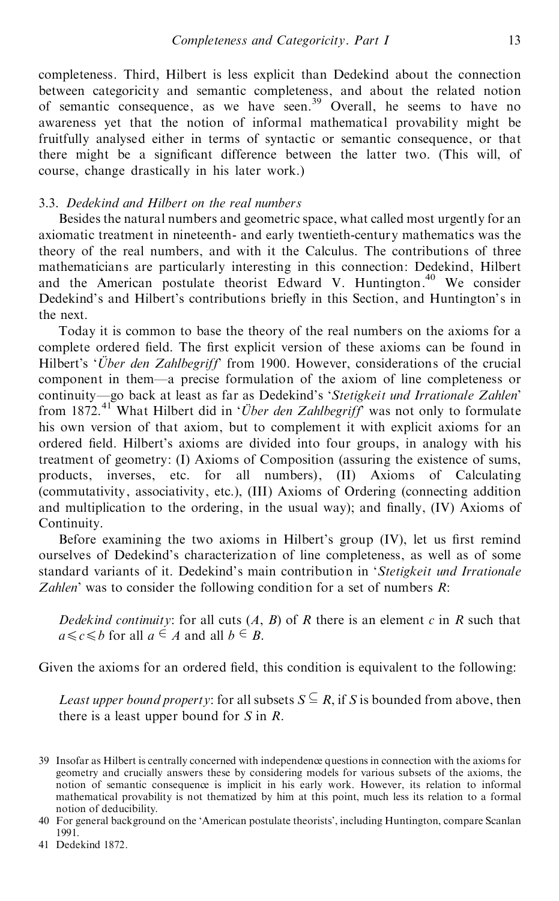completeness. Third, Hilbert is less explicit than Dedekind about the connection between categoricity and semantic completeness, and about the related notion of semantic consequence, as we have seen.<sup>39</sup> Overall, he seems to have no awareness yet that the notion of informal mathematical provability might be fruitfully analysed either in terms of syntactic or semantic consequence, or that there might be a significant difference between the latter two. (This will, of course, change drastically in his later work.)

# 3.3. *Dedekind and Hilbert on the real numbers*

Besides the natural numbers and geometric space, what called most urgently for an axiomatic treatment in nineteenth- and early twentieth-century mathematics was the theory of the real numbers, and with it the Calculus. The contributions of three mathematicians are particularly interesting in this connection: Dedekind, Hilbert and the American postulate theorist Edward V. Huntington.<sup>40</sup> We consider Dedekind's and Hilbert's contributions briefly in this Section, and Huntington's in the next.

Today it is common to base the theory of the real numbers on the axioms for a complete ordered field. The first explicit version of these axioms can be found in Hilbert's `*UÈ ber den Zahlbegriff*' from 1900. However, considerations of the crucial component in them—a precise formulation of the axiom of line completeness or continuity—go back at least as far as Dedekind's 'Stetigkeit und Irrationale Zahlen' from 1872.<sup>41</sup> What Hilbert did in *'Über den Zahlbegriff*' was not only to formulate his own version of that axiom, but to complement it with explicit axioms for an ordered ®eld. Hilbert's axioms are divided into four groups, in analogy with his treatment of geometry: (I) Axioms of Composition (assuring the existence of sums, products, inverses, etc. for all numbers), (II) Axioms of Calculating (commutativity, associativity, etc.), (III) Axioms of Ordering (connecting addition and multiplication to the ordering, in the usual way); and finally,  $(IV)$  Axioms of Continuity.

Before examining the two axioms in Hilbert's group  $(IV)$ , let us first remind ourselves of Dedekind's characterization of line completeness, as well as of some standard variants of it. Dedekind's main contribution in `*Stetigkeit und Irrationale Zahlen*' was to consider the following condition for a set of numbers *R*:

*Dedekind continuity*: for all cuts  $(A, B)$  of  $R$  there is an element  $c$  in  $R$  such that  $a \leq c \leq b$  for all  $a \in A$  and all  $b \in B$ .

Given the axioms for an ordered field, this condition is equivalent to the following:

*Least upper bound property*: for all subsets  $S \subseteq R$ , if *S* is bounded from above, then there is a least upper bound for *S* in *R*.

<sup>39</sup> Insofar as Hilbert is centrally concerned with independence questions in connection with the axioms for geometry and crucially answers these by considering models for various subsets of the axioms, the notion of semantic consequence is implicit in his early work. However, its relation to informal mathematical provability is not thematized by him at this point, much less its relation to a formal notion of deducibility.

<sup>40</sup> For general background on the `American postulate theorists', including Huntington, compare Scanlan 1991.

<sup>41</sup> Dedekind 1872.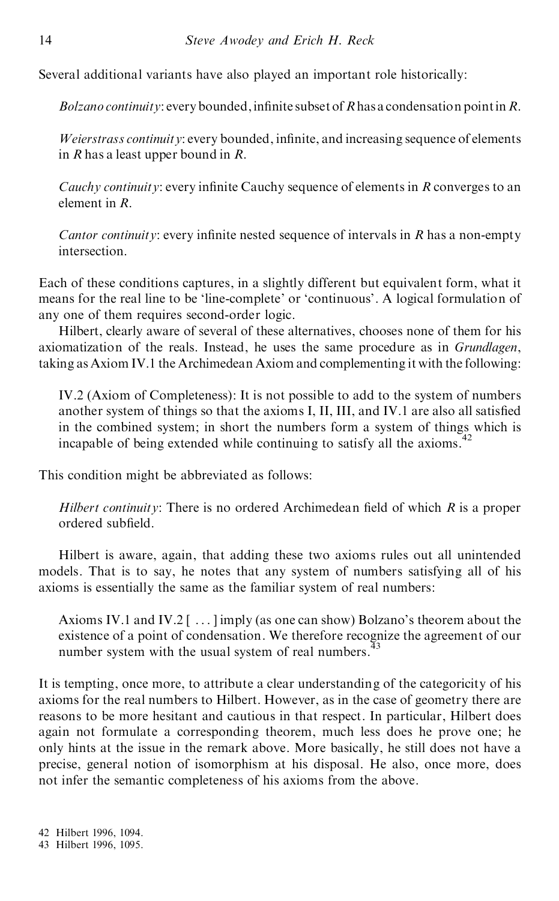Several additional variants have also played an important role historically:

*Bolzano continuity*: every bounded, infinite subset of *R* has a condensation point in *R*.

*Weierstrass continuity*: every bounded, infinite, and increasing sequence of elements in *R* has a least upper bound in *R*.

*Cauchy continuity:* every infinite Cauchy sequence of elements in *R* converges to an element in *R*.

*Cantor continuity:* every infinite nested sequence of intervals in *R* has a non-empty intersection.

Each of these conditions captures, in a slightly different but equivalent form, what it means for the real line to be 'line-complete' or 'continuous'. A logical formulation of any one of them requires second-order logic.

Hilbert, clearly aware of several of these alternatives, chooses none of them for his axiomatization of the reals. Instead, he uses the same procedure as in *Grundlagen*, taking as Axiom IV.1 the Archimedean Axiom and complementing it with the following:

IV.2 (Axiom of Completeness): It is not possible to add to the system of numbers another system of things so that the axioms I, II, III, and IV.1 are also all satisfied in the combined system; in short the numbers form a system of things which is incapable of being extended while continuing to satisfy all the axioms. 42

This condition might be abbreviated as follows:

*Hilbert continuity*: There is no ordered Archimedean field of which  $R$  is a proper ordered subfield.

Hilbert is aware, again, that adding these two axioms rules out all unintended models. That is to say, he notes that any system of numbers satisfying all of his axioms is essentially the same as the familiar system of real numbers:

Axioms IV.1 and IV.2 [...] imply (as one can show) Bolzano's theorem about the existence of a point of condensation. We therefore recognize the agreement of our number system with the usual system of real numbers.<sup> $43$ </sup>

It is tempting, once more, to attribute a clear understanding of the categoricity of his axioms for the real numbers to Hilbert. However, as in the case of geometry there are reasons to be more hesitant and cautious in that respect. In particular, Hilbert does again not formulate a corresponding theorem, much less does he prove one; he only hints at the issue in the remark above. More basically, he still does not have a precise, general notion of isomorphism at his disposal. He also, once more, does not infer the semantic completeness of his axioms from the above.

<sup>42</sup> Hilbert 1996, 1094.

<sup>43</sup> Hilbert 1996, 1095.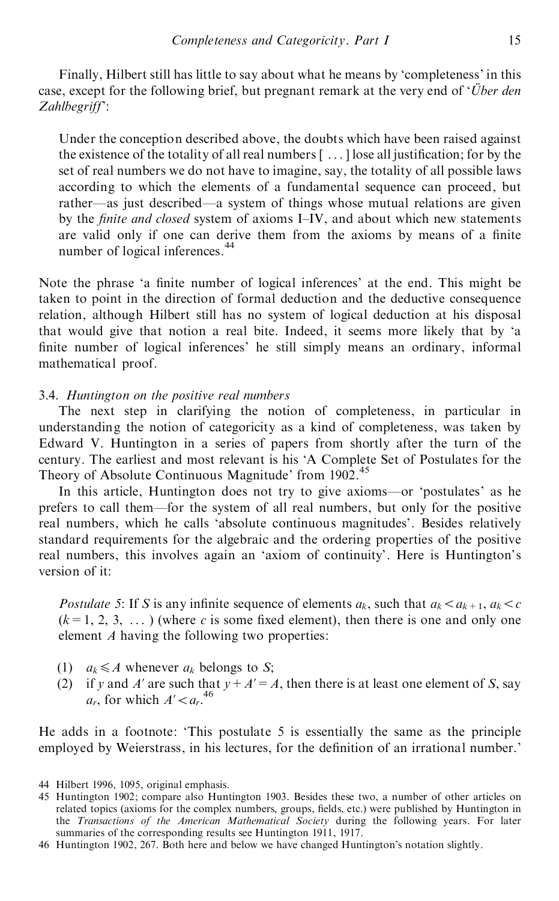Finally, Hilbert still has little to say about what he means by 'completeness' in this case, except for the following brief, but pregnant remark at the very end of `*UÈ ber den Zahlbegriff*':

Under the conception described above, the doubts which have been raised against the existence of the totality of all real numbers  $[\dots]$  lose all justification; for by the set of real numbers we do not have to imagine, say, the totality of all possible laws according to which the elements of a fundamental sequence can proceed, but rather—as just described—a system of things whose mutual relations are given by the *finite and closed* system of axioms I-IV, and about which new statements are valid only if one can derive them from the axioms by means of a finite number of logical inferences.<sup>44</sup>

Note the phrase 'a finite number of logical inferences' at the end. This might be taken to point in the direction of formal deduction and the deductive consequence relation, although Hilbert still has no system of logical deduction at his disposal that would give that notion a real bite. Indeed, it seems more likely that by `a finite number of logical inferences' he still simply means an ordinary, informal mathematical proof.

#### 3.4. *Huntington on the positive real numbers*

The next step in clarifying the notion of completeness, in particular in understanding the notion of categoricity as a kind of completeness, was taken by Edward V. Huntington in a series of papers from shortly after the turn of the century. The earliest and most relevant is his `A Complete Set of Postulates for the Theory of Absolute Continuous Magnitude' from 1902.<sup>45</sup>

In this article, Huntington does not try to give axioms—or 'postulates' as he prefers to call them—for the system of all real numbers, but only for the positive real numbers, which he calls 'absolute continuous magnitudes'. Besides relatively standard requirements for the algebraic and the ordering properties of the positive real numbers, this involves again an `axiom of continuity'. Here is Huntington's version of it:

*Postulate* 5: If *S* is any infinite sequence of elements  $a_k$ , such that  $a_k < a_{k+1}$ ,  $a_k < c$  $(k=1, 2, 3, ...)$  (where *c* is some fixed element), then there is one and only one element *A* having the following two properties:

- (1)  $a_k \leq A$  whenever  $a_k$  belongs to *S*;
- (2) if *y* and *A'* are such that  $y + A' = A$ , then there is at least one element of *S*, say  $a_r$ , for which  $A' < a_r$ .<sup>46</sup>

He adds in a footnote: `This postulate 5 is essentially the same as the principle employed by Weierstrass, in his lectures, for the definition of an irrational number.'

<sup>44</sup> Hilbert 1996, 1095, original emphasis.

<sup>45</sup> Huntington 1902; compare also Huntington 1903. Besides these two, a number of other articles on related topics (axioms for the complex numbers, groups, fields, etc.) were published by Huntington in the *Transactions of the American Mathematical Society* during the following years. For later summaries of the corresponding results see Huntington 1911, 1917.

<sup>46</sup> Huntington 1902, 267. Both here and below we have changed Huntington's notation slightly.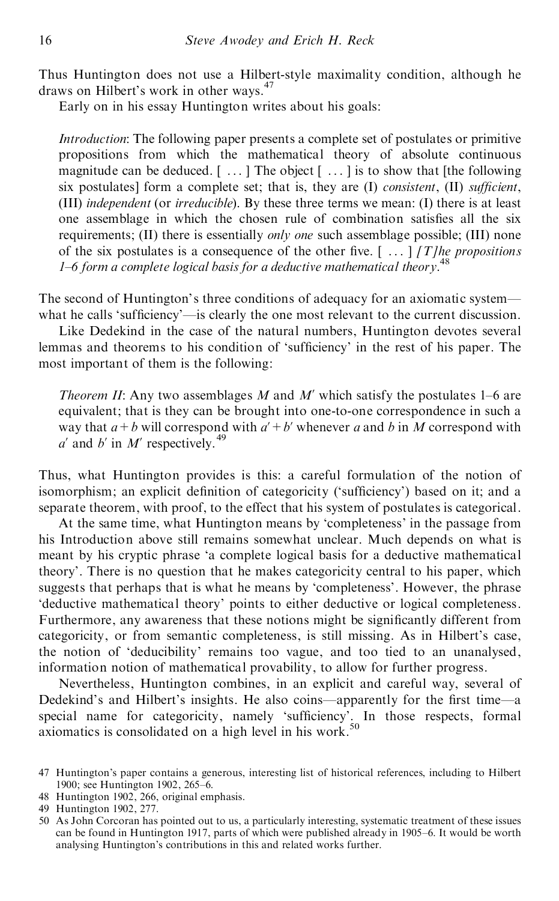Thus Huntington does not use a Hilbert-style maximality condition, although he draws on Hilbert's work in other ways. 47

Early on in his essay Huntington writes about his goals:

*Introduction*: The following paper presents a complete set of postulates or primitive propositions from which the mathematical theory of absolute continuous magnitude can be deduced.  $[\dots]$  The object  $[\dots]$  is to show that [the following six postulates] form a complete set; that is, they are  $(I)$  *consistent*,  $(II)$  *sufficient*, (III) *independent* (or *irreducible*). By these three terms we mean: (I) there is at least one assemblage in which the chosen rule of combination satisfies all the six requirements; (II) there is essentially *only one* such assemblage possible; (III) none of the six postulates is a consequence of the other five.  $[$  ...  $]$  *[T]he propositions 1±6 form a complete logical basis for a deductive mathematical theory*. 48

The second of Huntington's three conditions of adequacy for an axiomatic system what he calls 'sufficiency'—is clearly the one most relevant to the current discussion.

Like Dedekind in the case of the natural numbers, Huntington devotes several lemmas and theorems to his condition of 'sufficiency' in the rest of his paper. The most important of them is the following:

*Theorem II*: Any two assemblages *M* and *M'* which satisfy the postulates  $1-6$  are equivalent; that is they can be brought into one-to-one correspondence in such a way that  $a + b$  will correspond with  $a' + b'$  whenever *a* and *b* in *M* correspond with  $a'$  and  $b'$  in  $M'$  respectively.<sup>49</sup>

Thus, what Huntington provides is this: a careful formulation of the notion of isomorphism; an explicit definition of categoricity ('sufficiency') based on it; and a separate theorem, with proof, to the effect that his system of postulates is categorical.

At the same time, what Huntington means by `completeness' in the passage from his Introduction above still remains somewhat unclear. Much depends on what is meant by his cryptic phrase `a complete logical basis for a deductive mathematical theory'. There is no question that he makes categoricity central to his paper, which suggests that perhaps that is what he means by 'completeness'. However, the phrase `deductive mathematical theory' points to either deductive or logical completeness. Furthermore, any awareness that these notions might be significantly different from categoricity, or from semantic completeness, is still missing. As in Hilbert's case, the notion of `deducibility' remains too vague, and too tied to an unanalysed, information notion of mathematical provability, to allow for further progress.

Nevertheless, Huntington combines, in an explicit and careful way, several of Dedekind's and Hilbert's insights. He also coins—apparently for the first time—a special name for categoricity, namely 'sufficiency'. In those respects, formal axiomatics is consolidated on a high level in his work.<sup>50</sup>

<sup>47</sup> Huntington's paper contains a generous, interesting list of historical references, including to Hilbert 1900; see Huntington 1902, 265-6.

<sup>48</sup> Huntington 1902, 266, original emphasis.

<sup>49</sup> Huntington 1902, 277.

<sup>50</sup> As John Corcoran has pointed out to us, a particularly interesting, systematic treatment of these issues can be found in Huntington 1917, parts of which were published already in 1905-6. It would be worth analysing Huntington's contributions in this and related works further.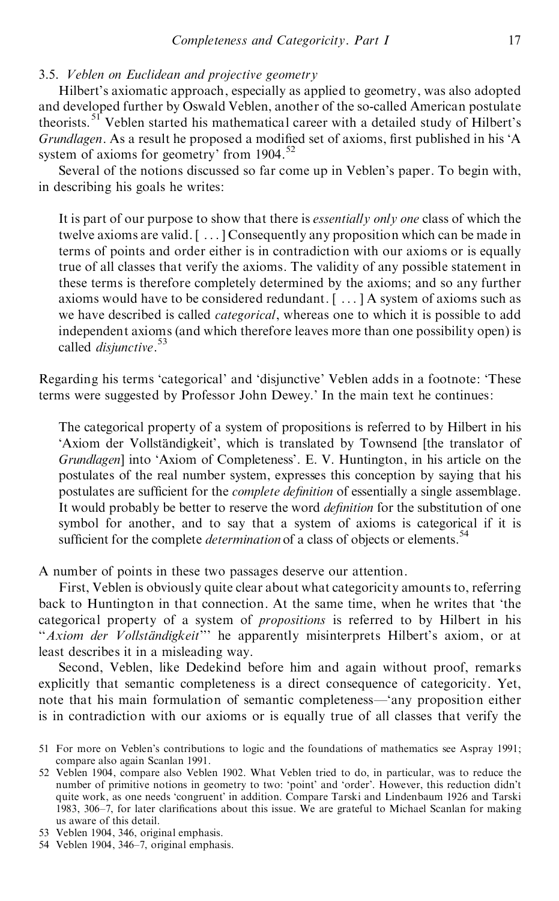#### 3.5. *Veblen on Euclidean and projective geometry*

Hilbert's axiomatic approach, especially as applied to geometry, was also adopted and developed further by Oswald Veblen, another of the so-called American postulate theorists.<sup>51</sup> Veblen started his mathematical career with a detailed study of Hilbert's *Grundlagen*. As a result he proposed a modified set of axioms, first published in his 'A system of axioms for geometry' from 1904.<sup>52</sup>

Several of the notions discussed so far come up in Veblen's paper. To begin with, in describing his goals he writes:

It is part of our purpose to show that there is *essentially only one* class of which the twelve axioms are valid. [ . . . ] Consequently any proposition which can be made in terms of points and order either is in contradiction with our axioms or is equally true of all classes that verify the axioms. The validity of any possible statement in these terms is therefore completely determined by the axioms; and so any further axioms would have to be considered redundant. [ . . . ] A system of axioms such as we have described is called *categorical*, whereas one to which it is possible to add independent axioms (and which therefore leaves more than one possibility open) is called *disjunctive*. 53

Regarding his terms 'categorical' and 'disjunctive' Veblen adds in a footnote: 'These terms were suggested by Professor John Dewey.' In the main text he continues:

The categorical property of a system of propositions is referred to by Hilbert in his 'Axiom der Vollständigkeit', which is translated by Townsend [the translator of *Grundlagen*] into `Axiom of Completeness'. E. V. Huntington, in his article on the postulates of the real number system, expresses this conception by saying that his postulates are sufficient for the *complete definition* of essentially a single assemblage. It would probably be better to reserve the word *definition* for the substitution of one symbol for another, and to say that a system of axioms is categorical if it is sufficient for the complete *determination* of a class of objects or elements.<sup>54</sup>

A number of points in these two passages deserve our attention.

First, Veblen is obviously quite clear about what categoricity amounts to, referring back to Huntington in that connection. At the same time, when he writes that `the categorical property of a system of *propositions* is referred to by Hilbert in his "Axiom der Vollständigkeit" he apparently misinterprets Hilbert's axiom, or at least describes it in a misleading way.

Second, Veblen, like Dedekind before him and again without proof, remarks explicitly that semantic completeness is a direct consequence of categoricity. Yet, note that his main formulation of semantic completeness—'any proposition either is in contradiction with our axioms or is equally true of all classes that verify the

54 Veblen 1904, 346-7, original emphasis.

<sup>51</sup> For more on Veblen's contributions to logic and the foundations of mathematics see Aspray 1991; compare also again Scanlan 1991.

<sup>52</sup> Veblen 1904, compare also Veblen 1902. What Veblen tried to do, in particular, was to reduce the number of primitive notions in geometry to two: 'point' and 'order'. However, this reduction didn't quite work, as one needs 'congruent' in addition. Compare Tarski and Lindenbaum 1926 and Tarski 1983, 306-7, for later clarifications about this issue. We are grateful to Michael Scanlan for making us aware of this detail.

<sup>53</sup> Veblen 1904, 346, original emphasis.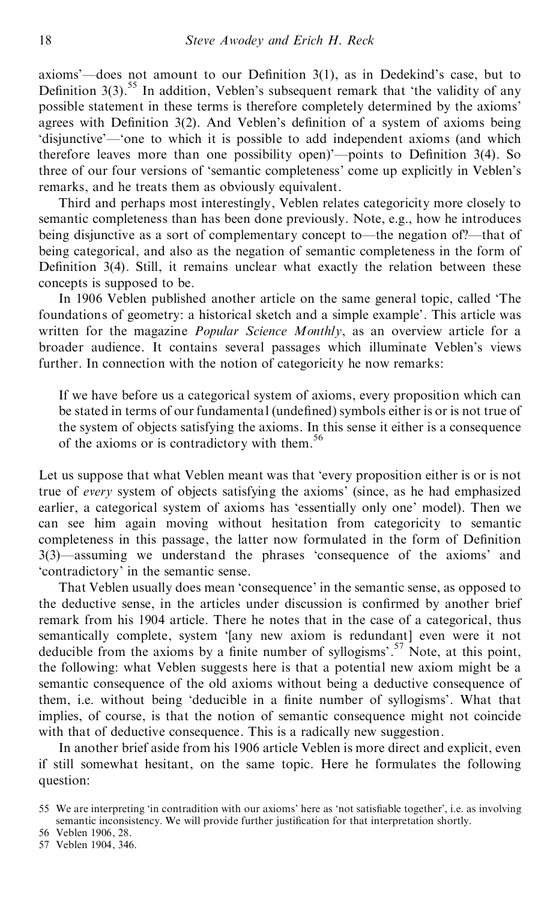axioms'—does not amount to our Definition  $3(1)$ , as in Dedekind's case, but to Definition  $3(3)$ .<sup>55</sup> In addition, Veblen's subsequent remark that 'the validity of any possible statement in these terms is therefore completely determined by the axioms' agrees with Definition  $3(2)$ . And Veblen's definition of a system of axioms being 'disjunctive'—'one to which it is possible to add independent axioms (and which therefore leaves more than one possibility open)'—points to Definition  $3(4)$ . So three of our four versions of `semantic completeness' come up explicitly in Veblen's remarks, and he treats them as obviously equivalent.

Third and perhaps most interestingly, Veblen relates categoricity more closely to semantic completeness than has been done previously. Note, e.g., how he introduces being disjunctive as a sort of complementary concept to—the negation of?—that of being categorical, and also as the negation of semantic completeness in the form of Definition  $3(4)$ . Still, it remains unclear what exactly the relation between these concepts is supposed to be.

In 1906 Veblen published another article on the same general topic, called `The foundations of geometry: a historical sketch and a simple example'. This article was written for the magazine *Popular Science Monthly*, as an overview article for a broader audience. It contains several passages which illuminate Veblen's views further. In connection with the notion of categoricity he now remarks:

If we have before us a categorical system of axioms, every proposition which can be stated in terms of our fundamental (undefined) symbols either is or is not true of the system of objects satisfying the axioms. In this sense it either is a consequence of the axioms or is contradictory with them. 56

Let us suppose that what Veblen meant was that `every proposition either is or is not true of *every* system of objects satisfying the axioms' (since, as he had emphasized earlier, a categorical system of axioms has `essentially only one' model). Then we can see him again moving without hesitation from categoricity to semantic completeness in this passage, the latter now formulated in the form of Definition 3(3)—assuming we understand the phrases 'consequence of the axioms' and `contradictory' in the semantic sense.

That Veblen usually does mean 'consequence' in the semantic sense, as opposed to the deductive sense, in the articles under discussion is confirmed by another brief remark from his 1904 article. There he notes that in the case of a categorical, thus semantically complete, system '[any new axiom is redundant] even were it not deducible from the axioms by a finite number of syllogisms'.<sup>57</sup> Note, at this point, the following: what Veblen suggests here is that a potential new axiom might be a semantic consequence of the old axioms without being a deductive consequence of them, i.e. without being 'deducible in a finite number of syllogisms'. What that implies, of course, is that the notion of semantic consequence might not coincide with that of deductive consequence. This is a radically new suggestion.

In another brief aside from his 1906 article Veblen is more direct and explicit, even if still somewhat hesitant, on the same topic. Here he formulates the following question:

<sup>55</sup> We are interpreting 'in contradition with our axioms' here as 'not satisfiable together', i.e. as involving semantic inconsistency. We will provide further justification for that interpretation shortly.

<sup>56</sup> Veblen 1906, 28.

<sup>57</sup> Veblen 1904, 346.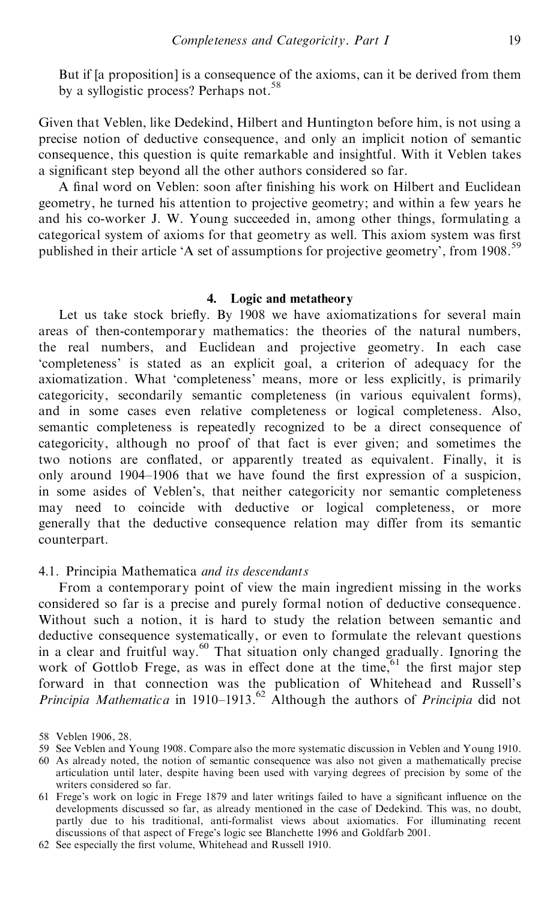But if [a proposition] is a consequence of the axioms, can it be derived from them by a syllogistic process? Perhaps not.<sup>58</sup>

Given that Veblen, like Dedekind, Hilbert and Huntington before him, is not using a precise notion of deductive consequence, and only an implicit notion of semantic consequence, this question is quite remarkable and insightful. With it Veblen takes a significant step beyond all the other authors considered so far.

A final word on Veblen: soon after finishing his work on Hilbert and Euclidean geometry, he turned his attention to projective geometry; and within a few years he and his co-worker J. W. Young succeeded in, among other things, formulating a categorical system of axioms for that geometry as well. This axiom system was first published in their article 'A set of assumptions for projective geometry', from 1908.<sup>59</sup>

#### **4. Logic and metatheory**

Let us take stock briefly. By 1908 we have axiomatizations for several main areas of then-contemporary mathematics: the theories of the natural numbers, the real numbers, and Euclidean and projective geometry. In each case `completeness' is stated as an explicit goal, a criterion of adequacy for the axiomatization. What 'completeness' means, more or less explicitly, is primarily categoricity, secondarily semantic completeness (in various equivalent forms), and in some cases even relative completeness or logical completeness. Also, semantic completeness is repeatedly recognized to be a direct consequence of categoricity, although no proof of that fact is ever given; and sometimes the two notions are conflated, or apparently treated as equivalent. Finally, it is only around  $1904-1906$  that we have found the first expression of a suspicion, in some asides of Veblen's, that neither categoricity nor semantic completeness may need to coincide with deductive or logical completeness, or more generally that the deductive consequence relation may differ from its semantic counterpart.

## 4.1. Principia Mathematica *and its descendants*

From a contemporary point of view the main ingredient missing in the works considered so far is a precise and purely formal notion of deductive consequence. Without such a notion, it is hard to study the relation between semantic and deductive consequence systematically, or even to formulate the relevant questions in a clear and fruitful way. <sup>60</sup> That situation only changed gradually. Ignoring the work of Gottlob Frege, as was in effect done at the time,  $61$  the first major step forward in that connection was the publication of Whitehead and Russell's *Principia Mathematica* in 1910–1913.<sup>62</sup> Although the authors of *Principia* did not

<sup>58</sup> Veblen 1906, 28.

<sup>59</sup> See Veblen and Young 1908. Compare also the more systematic discussion in Veblen and Young 1910.

<sup>60</sup> As already noted, the notion of semantic consequence was also not given a mathematically precise articulation until later, despite having been used with varying degrees of precision by some of the writers considered so far.

<sup>61</sup> Frege's work on logic in Frege 1879 and later writings failed to have a significant influence on the developments discussed so far, as already mentioned in the case of Dedekind. This was, no doubt, partly due to his traditional, anti-formalist views about axiomatics. For illuminating recent discussions of that aspect of Frege's logic see Blanchette 1996 and Goldfarb 2001.

<sup>62</sup> See especially the first volume, Whitehead and Russell 1910.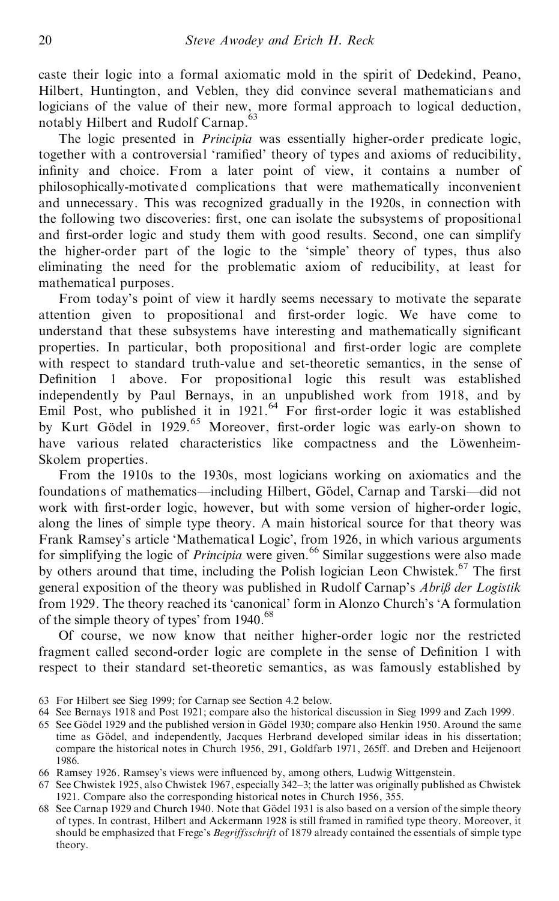caste their logic into a formal axiomatic mold in the spirit of Dedekind, Peano, Hilbert, Huntington, and Veblen, they did convince several mathematicians and logicians of the value of their new, more formal approach to logical deduction, notably Hilbert and Rudolf Carnap.<sup>63</sup>

The logic presented in *Principia* was essentially higher-order predicate logic, together with a controversial 'ramified' theory of types and axioms of reducibility, infinity and choice. From a later point of view, it contains a number of philosophically-motivate d complications that were mathematically inconvenient and unnecessary. This was recognized gradually in the 1920s, in connection with the following two discoveries: first, one can isolate the subsystems of propositional and first-order logic and study them with good results. Second, one can simplify the higher-order part of the logic to the `simple' theory of types, thus also eliminating the need for the problematic axiom of reducibility, at least for mathematical purposes.

From today's point of view it hardly seems necessary to motivate the separate attention given to propositional and first-order logic. We have come to understand that these subsystems have interesting and mathematically significant properties. In particular, both propositional and first-order logic are complete with respect to standard truth-value and set-theoretic semantics, in the sense of Definition 1 above. For propositional logic this result was established independently by Paul Bernays, in an unpublished work from 1918, and by Emil Post, who published it in 1921.<sup>64</sup> For first-order logic it was established by Kurt Gödel in 1929.<sup>65</sup> Moreover, first-order logic was early-on shown to have various related characteristics like compactness and the Löwenheim-Skolem properties.

From the 1910s to the 1930s, most logicians working on axiomatics and the foundations of mathematics—including Hilbert, Gödel, Carnap and Tarski-did not work with first-order logic, however, but with some version of higher-order logic, along the lines of simple type theory. A main historical source for that theory was Frank Ramsey's article `Mathematical Logic', from 1926, in which various arguments for simplifying the logic of *Principia* were given.<sup>66</sup> Similar suggestions were also made by others around that time, including the Polish logician Leon Chwistek.<sup>67</sup> The first general exposition of the theory was published in Rudolf Carnap's *Abriû der Logistik* from 1929. The theory reached its 'canonical' form in Alonzo Church's 'A formulation of the simple theory of types' from 1940.<sup>68</sup>

Of course, we now know that neither higher-order logic nor the restricted fragment called second-order logic are complete in the sense of Definition 1 with respect to their standard set-theoretic semantics, as was famously established by

<sup>63</sup> For Hilbert see Sieg 1999; for Carnap see Section 4.2 below.

<sup>64</sup> See Bernays 1918 and Post 1921; compare also the historical discussion in Sieg 1999 and Zach 1999.

<sup>65</sup> See Gödel 1929 and the published version in Gödel 1930; compare also Henkin 1950. Around the same time as Gödel, and independently, Jacques Herbrand developed similar ideas in his dissertation; compare the historical notes in Church 1956, 291, Goldfarb 1971, 265ff. and Dreben and Heijenoort 1986.

<sup>66</sup> Ramsey 1926. Ramsey's views were influenced by, among others, Ludwig Wittgenstein.

<sup>67</sup> See Chwistek 1925, also Chwistek 1967, especially 342-3; the latter was originally published as Chwistek 1921. Compare also the corresponding historical notes in Church 1956, 355.

<sup>68</sup> See Carnap 1929 and Church 1940. Note that Gödel 1931 is also based on a version of the simple theory of types. In contrast, Hilbert and Ackermann 1928 is still framed in ramified type theory. Moreover, it should be emphasized that Frege's *Begriffsschrift* of 1879 already contained the essentials of simple type theory.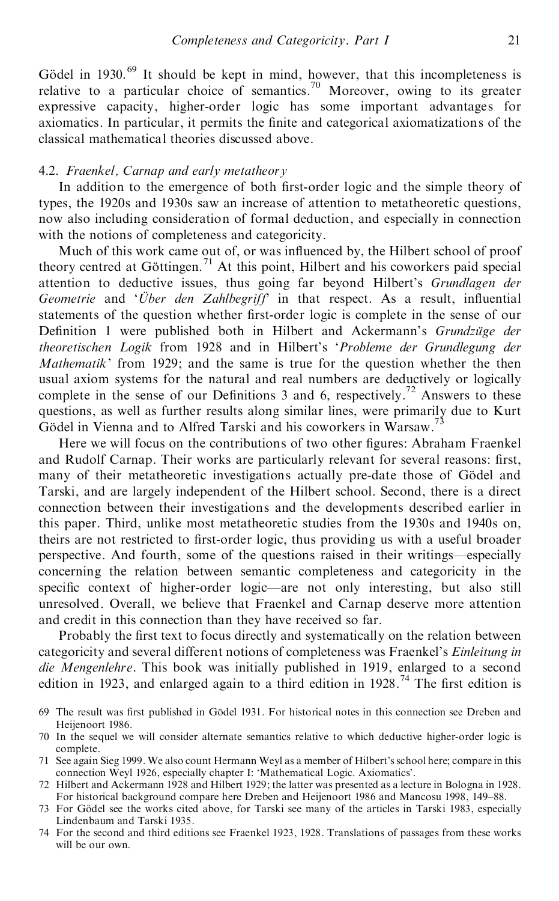Gödel in 1930. $^{69}$  It should be kept in mind, however, that this incompleteness is relative to a particular choice of semantics.<sup>70</sup> Moreover, owing to its greater expressive capacity, higher-order logic has some important advantages for axiomatics. In particular, it permits the finite and categorical axiomatizations of the classical mathematical theories discussed above.

#### 4.2. *Fraenkel, Carnap and early metatheory*

In addition to the emergence of both first-order logic and the simple theory of types, the 1920s and 1930s saw an increase of attention to metatheoretic questions, now also including consideration of formal deduction, and especially in connection with the notions of completeness and categoricity.

Much of this work came out of, or was influenced by, the Hilbert school of proof theory centred at Göttingen.<sup>71</sup> At this point, Hilbert and his coworkers paid special attention to deductive issues, thus going far beyond Hilbert's *Grundlagen der Geometrie* and *'Über den Zahlbegriff*' in that respect. As a result, influential statements of the question whether first-order logic is complete in the sense of our Definition 1 were published both in Hilbert and Ackermann's *Grundzüge der theoretischen Logik* from 1928 and in Hilbert's `*Probleme der Grundlegung der Mathematik*' from 1929; and the same is true for the question whether the then usual axiom systems for the natural and real numbers are deductively or logically complete in the sense of our Definitions 3 and 6, respectively.<sup>72</sup> Answers to these questions, as well as further results along similar lines, were primarily due to Kurt Gödel in Vienna and to Alfred Tarski and his coworkers in Warsaw.<sup>73</sup>

Here we will focus on the contributions of two other figures: Abraham Fraenkel and Rudolf Carnap. Their works are particularly relevant for several reasons: first, many of their metatheoretic investigations actually pre-date those of Godel and Tarski, and are largely independent of the Hilbert school. Second, there is a direct connection between their investigations and the developments described earlier in this paper. Third, unlike most metatheoretic studies from the 1930s and 1940s on, theirs are not restricted to first-order logic, thus providing us with a useful broader perspective. And fourth, some of the questions raised in their writings—especially concerning the relation between semantic completeness and categoricity in the specific context of higher-order logic—are not only interesting, but also still unresolved. Overall, we believe that Fraenkel and Carnap deserve more attention and credit in this connection than they have received so far.

Probably the first text to focus directly and systematically on the relation between categoricity and several different notions of completeness was Fraenkel's *Einleitung in die Mengenlehre*. This book was initially published in 1919, enlarged to a second edition in 1923, and enlarged again to a third edition in 1928.<sup>74</sup> The first edition is

<sup>69</sup> The result was first published in Gödel 1931. For historical notes in this connection see Dreben and Heijenoort 1986.

<sup>70</sup> In the sequel we will consider alternate semantics relative to which deductive higher-order logic is complete.

<sup>71</sup> See again Sieg 1999. We also count Hermann Weyl as a member of Hilbert'sschool here; compare in this connection Weyl 1926, especially chapter I: 'Mathematical Logic. Axiomatics'.

<sup>72</sup> Hilbert and Ackermann 1928 and Hilbert 1929; the latter was presented as a lecture in Bologna in 1928. For historical background compare here Dreben and Heijenoort 1986 and Mancosu 1998, 149-88.

<sup>73</sup> For Gödel see the works cited above, for Tarski see many of the articles in Tarski 1983, especially Lindenbaum and Tarski 1935.

<sup>74</sup> For the second and third editions see Fraenkel 1923, 1928. Translations of passages from these works will be our own.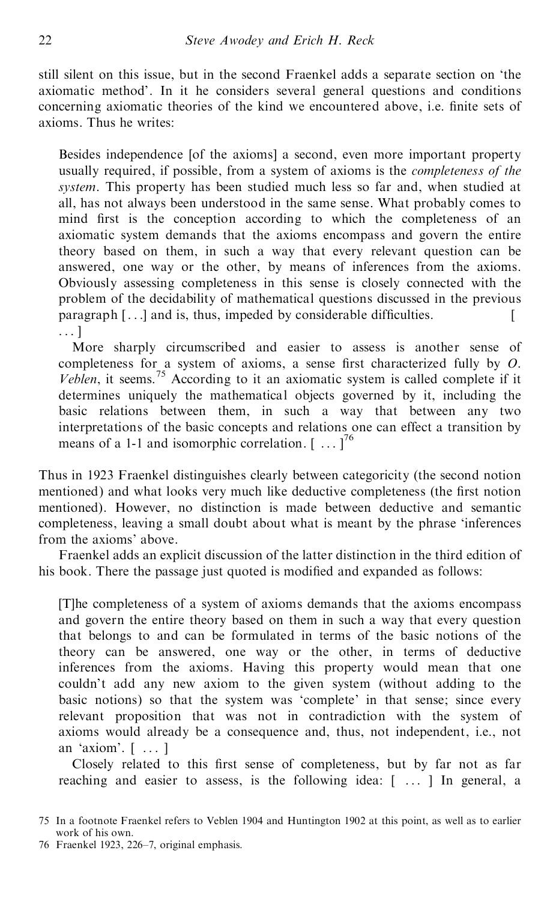still silent on this issue, but in the second Fraenkel adds a separate section on `the axiomatic method'. In it he considers several general questions and conditions concerning axiomatic theories of the kind we encountered above, i.e. finite sets of axioms. Thus he writes:

Besides independence [of the axioms] a second, even more important property usually required, if possible, from a system of axioms is the *completeness of the system*. This property has been studied much less so far and, when studied at all, has not always been understood in the same sense. What probably comes to mind first is the conception according to which the completeness of an axiomatic system demands that the axioms encompass and govern the entire theory based on them, in such a way that every relevant question can be answered, one way or the other, by means of inferences from the axioms. Obviously assessing completeness in this sense is closely connected with the problem of the decidability of mathematical questions discussed in the previous paragraph [...] and is, thus, impeded by considerable difficulties. [  $\ldots$ ]

More sharply circumscribed and easier to assess is another sense of completeness for a system of axioms, a sense first characterized fully by *O*. *Veblen*, it seems.<sup>75</sup> According to it an axiomatic system is called complete if it determines uniquely the mathematical objects governed by it, including the basic relations between them, in such a way that between any two interpretations of the basic concepts and relations one can effect a transition by means of a 1-1 and isomorphic correlation.  $\begin{bmatrix} 1 & 0 \\ 0 & 1 \end{bmatrix}^{\frac{1}{6}}$ 

Thus in 1923 Fraenkel distinguishes clearly between categoricity (the second notion mentioned) and what looks very much like deductive completeness (the first notion mentioned). However, no distinction is made between deductive and semantic completeness, leaving a small doubt about what is meant by the phrase `inferences from the axioms' above.

Fraenkel adds an explicit discussion of the latter distinction in the third edition of his book. There the passage just quoted is modified and expanded as follows:

[T]he completeness of a system of axioms demands that the axioms encompass and govern the entire theory based on them in such a way that every question that belongs to and can be formulated in terms of the basic notions of the theory can be answered, one way or the other, in terms of deductive inferences from the axioms. Having this property would mean that one couldn't add any new axiom to the given system (without adding to the basic notions) so that the system was 'complete' in that sense; since every relevant proposition that was not in contradiction with the system of axioms would already be a consequence and, thus, not independent, i.e., not an 'axiom'. [ ... ]

Closely related to this first sense of completeness, but by far not as far reaching and easier to assess, is the following idea: [ ... ] In general, a

<sup>75</sup> In a footnote Fraenkel refers to Veblen 1904 and Huntington 1902 at this point, as well as to earlier work of his own.

<sup>76</sup> Fraenkel 1923, 226-7, original emphasis.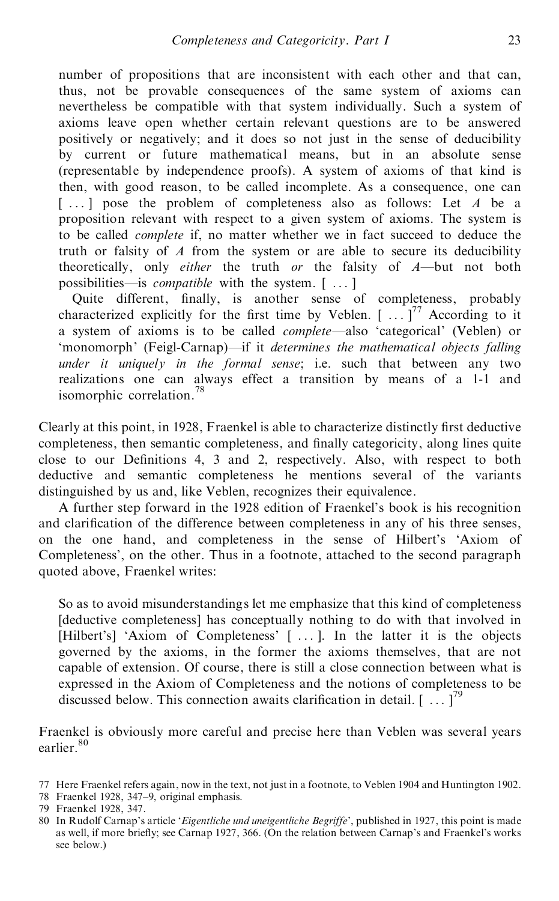number of propositions that are inconsistent with each other and that can, thus, not be provable consequences of the same system of axioms can nevertheless be compatible with that system individually. Such a system of axioms leave open whether certain relevant questions are to be answered positively or negatively; and it does so not just in the sense of deducibility by current or future mathematical means, but in an absolute sense (representable by independence proofs). A system of axioms of that kind is then, with good reason, to be called incomplete. As a consequence, one can [...] pose the problem of completeness also as follows: Let *A* be a proposition relevant with respect to a given system of axioms. The system is to be called *complete* if, no matter whether we in fact succeed to deduce the truth or falsity of *A* from the system or are able to secure its deducibility theoretically, only *either* the truth *or* the falsity of *A*—but not both possibilities—is *compatible* with the system. [ ... ]

Quite different, finally, is another sense of completeness, probably characterized explicitly for the first time by Veblen.  $[\dots]^{77}$  According to it a system of axioms is to be called *complete*—also 'categorical' (Veblen) or 'monomorph' (Feigl-Carnap)—if it *determines the mathematical objects falling under it uniquely in the formal sense*; i.e. such that between any two realizations one can always effect a transition by means of a 1-1 and isomorphic correlation.<sup>78</sup>

Clearly at this point, in 1928, Fraenkel is able to characterize distinctly first deductive completeness, then semantic completeness, and finally categoricity, along lines quite close to our Definitions 4, 3 and 2, respectively. Also, with respect to both deductive and semantic completeness he mentions several of the variants distinguished by us and, like Veblen, recognizes their equivalence.

A further step forward in the 1928 edition of Fraenkel's book is his recognition and clarification of the difference between completeness in any of his three senses, on the one hand, and completeness in the sense of Hilbert's `Axiom of Completeness', on the other. Thus in a footnote, attached to the second paragraph quoted above, Fraenkel writes:

So as to avoid misunderstandings let me emphasize that this kind of completeness [deductive completeness] has conceptually nothing to do with that involved in [Hilbert's] 'Axiom of Completeness' [ ... ]. In the latter it is the objects governed by the axioms, in the former the axioms themselves, that are not capable of extension. Of course, there is still a close connection between what is expressed in the Axiom of Completeness and the notions of completeness to be discussed below. This connection awaits clarification in detail.  $\left[ \ldots \right]^{79}$ 

Fraenkel is obviously more careful and precise here than Veblen was several years earlier.<sup>80</sup>

<sup>77</sup> Here Fraenkel refers again, now in the text, not just in a footnote, to Veblen 1904 and Huntington 1902.

<sup>78</sup> Fraenkel 1928, 347-9, original emphasis.

<sup>79</sup> Fraenkel 1928, 347.

<sup>80</sup> In Rudolf Carnap's article `*Eigentliche und uneigentliche Begriffe*', published in 1927, this point is made as well, if more briefly; see Carnap 1927, 366. (On the relation between Carnap's and Fraenkel's works see below.)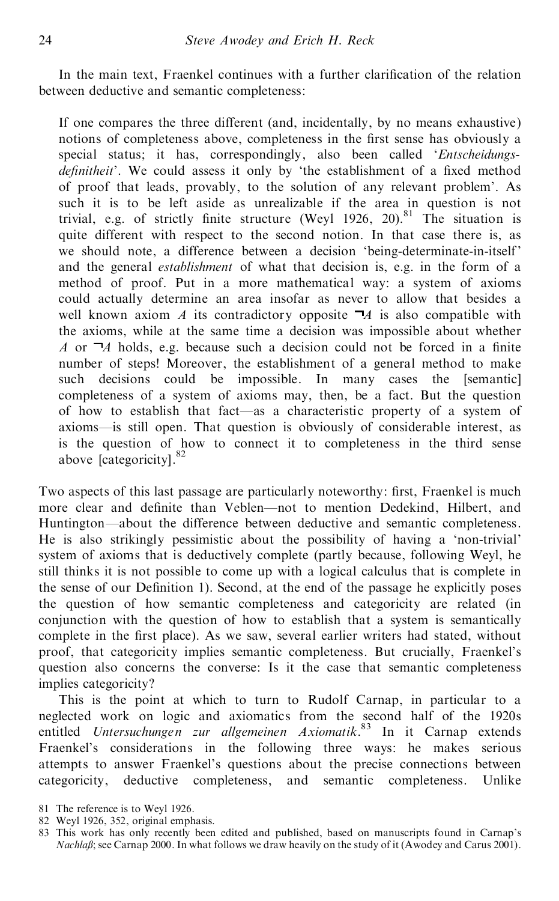In the main text, Fraenkel continues with a further clarification of the relation between deductive and semantic completeness:

If one compares the three different (and, incidentally, by no means exhaustive) notions of completeness above, completeness in the first sense has obviously a special status; it has, correspondingly, also been called `*Entscheidungsdefinitheit*'. We could assess it only by 'the establishment of a fixed method of proof that leads, provably, to the solution of any relevant problem'. As such it is to be left aside as unrealizable if the area in question is not trivial, e.g. of strictly finite structure (Weyl 1926, 20).<sup>81</sup> The situation is quite different with respect to the second notion. In that case there is, as we should note, a difference between a decision 'being-determinate-in-itself' and the general *establishment* of what that decision is, e.g. in the form of a method of proof. Put in a more mathematical way: a system of axioms could actually determine an area insofar as never to allow that besides a well known axiom *A* its contradictory opposite  $\neg A$  is also compatible with the axioms, while at the same time a decision was impossible about whether *A* or  $\neg A$  holds, e.g. because such a decision could not be forced in a finite number of steps! Moreover, the establishment of a general method to make such decisions could be impossible. In many cases the [semantic] completeness of a system of axioms may, then, be a fact. But the question of how to establish that fact—as a characteristic property of a system of axioms—is still open. That question is obviously of considerable interest, as is the question of how to connect it to completeness in the third sense above [categoricity].<sup>82</sup>

Two aspects of this last passage are particularly noteworthy: first, Fraenkel is much more clear and definite than Veblen—not to mention Dedekind, Hilbert, and Huntington—about the difference between deductive and semantic completeness. He is also strikingly pessimistic about the possibility of having a `non-trivial' system of axioms that is deductively complete (partly because, following Weyl, he still thinks it is not possible to come up with a logical calculus that is complete in the sense of our Definition 1). Second, at the end of the passage he explicitly poses the question of how semantic completeness and categoricity are related (in conjunction with the question of how to establish that a system is semantically complete in the first place). As we saw, several earlier writers had stated, without proof, that categoricity implies semantic completeness. But crucially, Fraenkel's question also concerns the converse: Is it the case that semantic completeness implies categoricity?

This is the point at which to turn to Rudolf Carnap, in particular to a neglected work on logic and axiomatics from the second half of the 1920s entitled *Untersuchungen zur allgemeinen Axiomatik*. <sup>83</sup> In it Carnap extends Fraenkel's considerations in the following three ways: he makes serious attempts to answer Fraenkel's questions about the precise connections between categoricity, deductive completeness, and semantic completeness. Unlike

- 81 The reference is to Weyl 1926.
- 82 Weyl 1926, 352, original emphasis.

<sup>83</sup> This work has only recently been edited and published, based on manuscripts found in Carnap's *Nachlaû*; see Carnap 2000. In what follows we draw heavily on the study of it (Awodey and Carus 2001).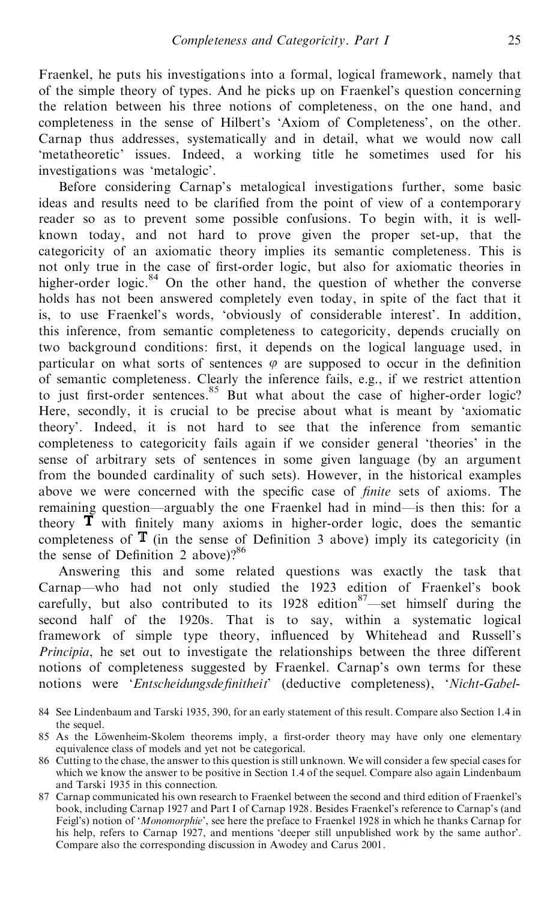Fraenkel, he puts his investigations into a formal, logical framework, namely that of the simple theory of types. And he picks up on Fraenkel's question concerning the relation between his three notions of completeness, on the one hand, and completeness in the sense of Hilbert's `Axiom of Completeness', on the other. Carnap thus addresses, systematically and in detail, what we would now call `metatheoretic' issues. Indeed, a working title he sometimes used for his investigations was `metalogic'.

Before considering Carnap's metalogical investigations further, some basic ideas and results need to be clarified from the point of view of a contemporary reader so as to prevent some possible confusions. To begin with, it is wellknown today, and not hard to prove given the proper set-up, that the categoricity of an axiomatic theory implies its semantic completeness. This is not only true in the case of first-order logic, but also for axiomatic theories in higher-order logic.<sup>84</sup> On the other hand, the question of whether the converse holds has not been answered completely even today, in spite of the fact that it is, to use Fraenkel's words, `obviously of considerable interest'. In addition, this inference, from semantic completeness to categoricity, depends crucially on two background conditions: first, it depends on the logical language used, in particular on what sorts of sentences  $\varphi$  are supposed to occur in the definition of semantic completeness. Clearly the inference fails, e.g., if we restrict attention to just first-order sentences.<sup>85</sup> But what about the case of higher-order logic? Here, secondly, it is crucial to be precise about what is meant by 'axiomatic theory'. Indeed, it is not hard to see that the inference from semantic completeness to categoricity fails again if we consider general `theories' in the sense of arbitrary sets of sentences in some given language (by an argument from the bounded cardinality of such sets). However, in the historical examples above we were concerned with the specific case of *finite* sets of axioms. The remaining question—arguably the one Fraenkel had in mind—is then this: for a theory  $\tilde{\mathbb{T}}$  with finitely many axioms in higher-order logic, does the semantic completeness of  $\mathbb T$  (in the sense of Definition 3 above) imply its categoricity (in the sense of Definition 2 above)? $86$ 

Answering this and some related questions was exactly the task that Carnap-who had not only studied the 1923 edition of Fraenkel's book carefully, but also contributed to its  $1928$  edition<sup>87</sup> set himself during the second half of the 1920s. That is to say, within a systematic logical framework of simple type theory, influenced by Whitehead and Russell's *Principia*, he set out to investigate the relationships between the three different notions of completeness suggested by Fraenkel. Carnap's own terms for these notions were 'Entscheidungsdefinitheit' (deductive completeness), 'Nicht-Gabel-

- 84 See Lindenbaum and Tarski 1935, 390, for an early statement of this result. Compare also Section 1.4 in the sequel.
- 85 As the Löwenheim-Skolem theorems imply, a first-order theory may have only one elementary equivalence class of models and yet not be categorical.
- 86 Cutting to the chase, the answer to this question is still unknown. We will consider a few special casesfor which we know the answer to be positive in Section 1.4 of the sequel. Compare also again Lindenbaum and Tarski 1935 in this connection.
- 87 Carnap communicated his own research to Fraenkel between the second and third edition of Fraenkel's book, including Carnap 1927 and Part I of Carnap 1928. Besides Fraenkel's reference to Carnap's (and Feigl's) notion of `*Monomorphie*', see here the preface to Fraenkel 1928 in which he thanks Carnap for his help, refers to Carnap 1927, and mentions 'deeper still unpublished work by the same author'. Compare also the corresponding discussion in Awodey and Carus 2001.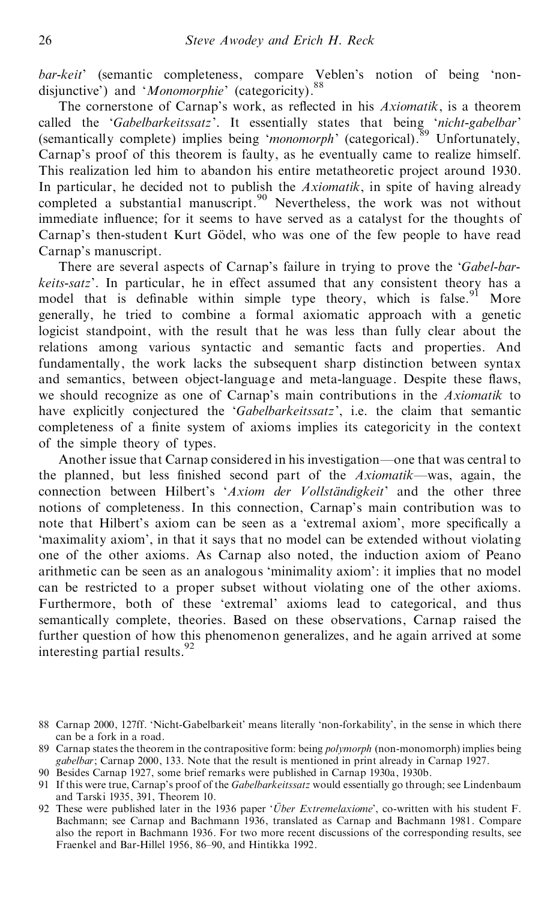*bar-keit*' (semantic completeness, compare Veblen's notion of being `nondisjunctive') and 'Monomorphie' (categoricity).<sup>88</sup>

The cornerstone of Carnap's work, as reflected in his *Axiomatik*, is a theorem called the `*Gabelbarkeitssatz* '. It essentially states that being `*nicht-gabelbar*' (semantically complete) implies being `*monomorph*' (categorical). <sup>89</sup> Unfortunately, Carnap's proof of this theorem is faulty, as he eventually came to realize himself. This realization led him to abandon his entire metatheoretic project around 1930. In particular, he decided not to publish the *Axiomatik*, in spite of having already completed a substantial manuscript.<sup>90</sup> Nevertheless, the work was not without immediate influence; for it seems to have served as a catalyst for the thoughts of Carnap's then-student Kurt Gödel, who was one of the few people to have read Carnap's manuscript.

There are several aspects of Carnap's failure in trying to prove the `*Gabel-barkeits-satz*'. In particular, he in effect assumed that any consistent theory has a model that is definable within simple type theory, which is false.<sup>91</sup> More generally, he tried to combine a formal axiomatic approach with a genetic logicist standpoint, with the result that he was less than fully clear about the relations among various syntactic and semantic facts and properties. And fundamentally, the work lacks the subsequent sharp distinction between syntax and semantics, between object-language and meta-language. Despite these flaws, we should recognize as one of Carnap's main contributions in the *Axiomatik* to have explicitly conjectured the `*Gabelbarkeitssatz* ', i.e. the claim that semantic completeness of a finite system of axioms implies its categoricity in the context of the simple theory of types.

Another issue that Carnap considered in his investigation—one that was central to the planned, but less finished second part of the *Axiomatik*—was, again, the connection between Hilbert's 'Axiom der Vollständigkeit' and the other three notions of completeness. In this connection, Carnap's main contribution was to note that Hilbert's axiom can be seen as a 'extremal axiom', more specifically a `maximality axiom', in that it says that no model can be extended without violating one of the other axioms. As Carnap also noted, the induction axiom of Peano arithmetic can be seen as an analogous `minimality axiom': it implies that no model can be restricted to a proper subset without violating one of the other axioms. Furthermore, both of these `extremal' axioms lead to categorical, and thus semantically complete, theories. Based on these observations, Carnap raised the further question of how this phenomenon generalizes, and he again arrived at some interesting partial results. 92

- 88 Carnap 2000, 127ff. `Nicht-Gabelbarkeit' means literally `non-forkability', in the sense in which there can be a fork in a road.
- 89 Carnap statesthe theorem in the contrapositive form: being *polymorph* (non-monomorph) implies being *gabelbar*; Carnap 2000, 133. Note that the result is mentioned in print already in Carnap 1927.
- 90 Besides Carnap 1927, some brief remarks were published in Carnap 1930a, 1930b.
- 91 If this were true, Carnap's proof of the *Gabelbarkeitssatz* would essentially go through; see Lindenbaum and Tarski 1935, 391, Theorem 10.
- 92 These were published later in the 1936 paper `*UÈ ber Extremelaxiome*', co-written with his student F. Bachmann; see Carnap and Bachmann 1936, translated as Carnap and Bachmann 1981. Compare also the report in Bachmann 1936. For two more recent discussions of the corresponding results, see Fraenkel and Bar-Hillel 1956, 86-90, and Hintikka 1992.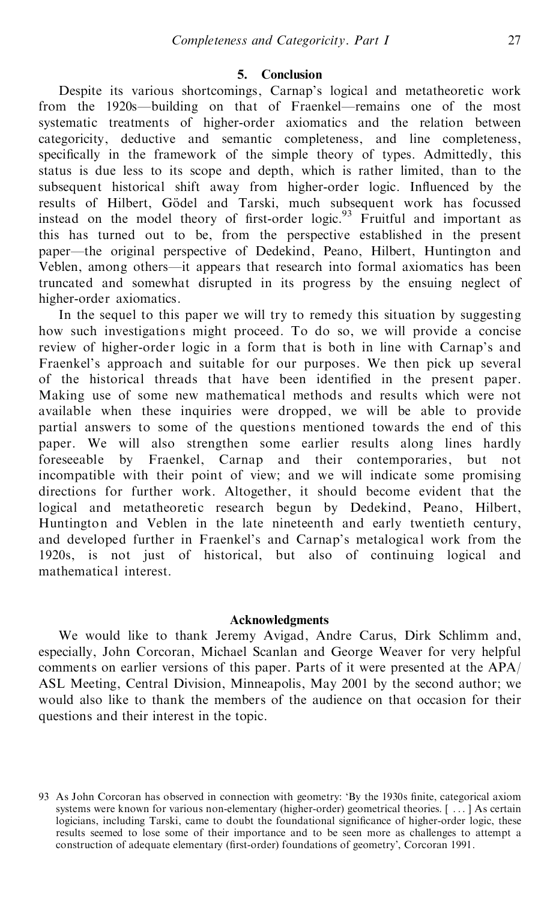## **5. Conclusion**

Despite its various shortcomings, Carnap's logical and metatheoretic work from the 1920s—building on that of Fraenkel—remains one of the most systematic treatments of higher-order axiomatics and the relation between categoricity, deductive and semantic completeness, and line completeness, specifically in the framework of the simple theory of types. Admittedly, this status is due less to its scope and depth, which is rather limited, than to the subsequent historical shift away from higher-order logic. Influenced by the results of Hilbert, Gödel and Tarski, much subsequent work has focussed instead on the model theory of first-order logic.<sup>93</sup> Fruitful and important as this has turned out to be, from the perspective established in the present paper—the original perspective of Dedekind, Peano, Hilbert, Huntington and Veblen, among others—it appears that research into formal axiomatics has been truncated and somewhat disrupted in its progress by the ensuing neglect of higher-order axiomatics.

In the sequel to this paper we will try to remedy this situation by suggesting how such investigations might proceed. To do so, we will provide a concise review of higher-order logic in a form that is both in line with Carnap's and Fraenkel's approach and suitable for our purposes. We then pick up several of the historical threads that have been identified in the present paper. Making use of some new mathematical methods and results which were not available when these inquiries were dropped, we will be able to provide partial answers to some of the questions mentioned towards the end of this paper. We will also strengthen some earlier results along lines hardly foreseeable by Fraenkel, Carnap and their contemporaries, but not incompatible with their point of view; and we will indicate some promising directions for further work. Altogether, it should become evident that the logical and metatheoretic research begun by Dedekind, Peano, Hilbert, Huntington and Veblen in the late nineteenth and early twentieth century, and developed further in Fraenkel's and Carnap's metalogical work from the 1920s, is not just of historical, but also of continuing logical and mathematical interest.

#### **Acknowledgments**

We would like to thank Jeremy Avigad, Andre Carus, Dirk Schlimm and, especially, John Corcoran, Michael Scanlan and George Weaver for very helpful comments on earlier versions of this paper. Parts of it were presented at the APA/ ASL Meeting, Central Division, Minneapolis, May 2001 by the second author; we would also like to thank the members of the audience on that occasion for their questions and their interest in the topic.

<sup>93</sup> As John Corcoran has observed in connection with geometry: 'By the 1930s finite, categorical axiom systems were known for various non-elementary (higher-order) geometrical theories. [ ... ] As certain logicians, including Tarski, came to doubt the foundational significance of higher-order logic, these results seemed to lose some of their importance and to be seen more as challenges to attempt a construction of adequate elementary (first-order) foundations of geometry', Corcoran 1991.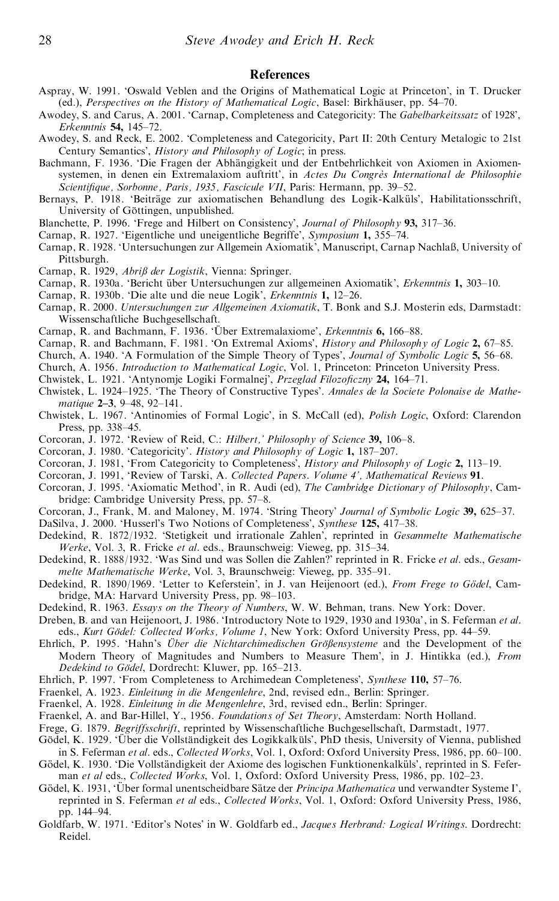#### **References**

- Aspray, W. 1991. `Oswald Veblen and the Origins of Mathematical Logic at Princeton', in T. Drucker (ed.), Perspectives on the History of Mathematical Logic, Basel: Birkhäuser, pp. 54-70.
- Awodey, S. and Carus, A. 2001. `Carnap, Completeness and Categoricity: The *Gabelbarkeitssatz* of 1928', *Erkenntnis* **54**, 145-72.
- Awodey, S. and Reck, E. 2002. `Completeness and Categoricity, Part II: 20th Century Metalogic to 21st Century Semantics', *History and Philosophy of Logic*; in press.

Bachmann, F. 1936. 'Die Fragen der Abhängigkeit und der Entbehrlichkeit von Axiomen in Axiomensystemen, in denen ein Extremalaxiom auftritt', in *Actes Du Congrès International de Philosophie Scienti®que, Sorbonne, Paris, 1935, Fascicule VII*, Paris: Hermann, pp. 39±52.

- Bernays, P. 1918. 'Beiträge zur axiomatischen Behandlung des Logik-Kalküls', Habilitationsschrift, University of Göttingen, unpublished.
- Blanchette, P. 1996. 'Frege and Hilbert on Consistency', *Journal of Philosophy* 93, 317–36.
- Carnap, R. 1927. 'Eigentliche und uneigentliche Begriffe', *Symposium* 1, 355–74.
- Carnap, R. 1928. `Untersuchungen zur Allgemein Axiomatik', Manuscript, Carnap Nachlaû, University of Pittsburgh.
- Carnap, R. 1929, *Abriû der Logistik*, Vienna: Springer.
- Carnap, R. 1930a. `Bericht uÈber Untersuchungen zur allgemeinen Axiomatik', *Erkenntnis* **1,** 303±10.
- Carnap, R. 1930b. 'Die alte und die neue Logik', *Erkenntnis* 1, 12-26.
- Carnap, R. 2000. *Untersuchungen zur Allgemeinen Axiomatik*, T. Bonk and S.J. Mosterin eds, Darmstadt: Wissenschaftliche Buchgesellschaft.
- Carnap, R. and Bachmann, F. 1936. 'Über Extremalaxiome', *Erkenntnis* 6, 166-88.
- Carnap, R. and Bachmann, F. 1981. 'On Extremal Axioms', *History and Philosophy of Logic* 2, 67-85.
- Church, A. 1940. `A Formulation of the Simple Theory of Types', *Journal of Symbolic Logic* **5,** 56±68.
- Church, A. 1956. *Introduction to Mathematical Logic*, Vol. 1, Princeton: Princeton University Press.
- Chwistek, L. 1921. 'Antynomje Logiki Formalnej', *Przeglad Filozoficzny* 24, 164-71.
- Chwistek, L. 1924±1925. `The Theory of Constructive Types'. *Annales de la Societe Polonaise de Mathematique* **2-3**, 9-48, 92-141.
- Chwistek, L. 1967. `Antinomies of Formal Logic', in S. McCall (ed), *Polish Logic*, Oxford: Clarendon Press, pp. 338-45.
- Corcoran, J. 1972. `Review of Reid, C.: *Hilbert,' Philosophy of Science* **39,** 106±8.
- Corcoran, J. 1980. `Categoricity'. *History and Philosophy of Logic* **1,** 187±207.
- Corcoran, J. 1981, `From Categoricity to Completeness', *History and Philosophy of Logic* **2,** 113±19.
- Corcoran, J. 1991, `Review of Tarski, A. *Collected Papers. Volume 4', Mathematical Reviews* **91**.
- Corcoran, J. 1995. `Axiomatic Method', in R. Audi (ed), *The Cambridge Dictionary of Philosophy*, Cambridge: Cambridge University Press, pp. 57-8.
- Corcoran, J., Frank, M. and Maloney, M. 1974. `String Theory' *Journal of Symbolic Logic* **39,** 625±37.
- DaSilva, J. 2000. 'Husserl's Two Notions of Completeness', *Synthese* 125, 417-38.
- Dedekind, R. 1872/1932. `Stetigkeit und irrationale Zahlen', reprinted in *Gesammelte Mathematische Werke*, Vol. 3, R. Fricke et al. eds., Braunschweig: Vieweg, pp. 315-34.
- Dedekind, R. 1888/1932. `Was Sind und was Sollen die Zahlen?' reprinted in R. Fricke *et al*. eds., *Gesammelte Mathematische Werke*, Vol. 3, Braunschweig: Vieweg, pp. 335-91.
- Dedekind, R. 1890/1969. 'Letter to Keferstein', in J. van Heijenoort (ed.), *From Frege to Gödel*, Cambridge, MA: Harvard University Press, pp. 98-103.
- Dedekind, R. 1963. *Essays on the Theory of Numbers*, W. W. Behman, trans. New York: Dover.
- Dreben, B. and van Heijenoort, J. 1986. `Introductory Note to 1929, 1930 and 1930a', in S. Feferman *et al*. eds., *Kurt GoÈdel: Collected Works, Volume 1*, New York: Oxford University Press, pp. 44±59.
- Ehrlich, P. 1995. `Hahn's *UÈ ber die Nichtarchimedischen GroÈûensysteme* and the Development of the Modern Theory of Magnitudes and Numbers to Measure Them', in J. Hintikka (ed.), *From* Dedekind to Gödel, Dordrecht: Kluwer, pp. 165-213.
- Ehrlich, P. 1997. 'From Completeness to Archimedean Completeness', *Synthese* 110, 57–76.
- Fraenkel, A. 1923. *Einleitung in die Mengenlehre*, 2nd, revised edn., Berlin: Springer.
- Fraenkel, A. 1928. *Einleitung in die Mengenlehre*, 3rd, revised edn., Berlin: Springer.
- Fraenkel, A. and Bar-Hillel, Y., 1956. *Foundations of Set Theory*, Amsterdam: North Holland.
- Frege, G. 1879. *Begriffsschrift*, reprinted by Wissenschaftliche Buchgesellschaft, Darmstadt, 1977.
- Gödel, K. 1929. 'Über die Vollständigkeit des Logikkalküls', PhD thesis, University of Vienna, published in S. Feferman et al. eds., Collected Works, Vol. 1, Oxford: Oxford University Press, 1986, pp. 60-100.
- Gödel, K. 1930. 'Die Vollständigkeit der Axiome des logischen Funktionenkalküls', reprinted in S. Feferman et al eds., *Collected Works*, Vol. 1, Oxford: Oxford University Press, 1986, pp. 102-23.
- Gödel, K. 1931, 'Über formal unentscheidbare Sätze der *Principa Mathematica* und verwandter Systeme I', reprinted in S. Feferman *et al* eds., *Collected Works*, Vol. 1, Oxford: Oxford University Press, 1986, pp. 144-94.
- Goldfarb, W. 1971. `Editor's Notes' in W. Goldfarb ed., *Jacques Herbrand: Logical Writings*. Dordrecht: Reidel.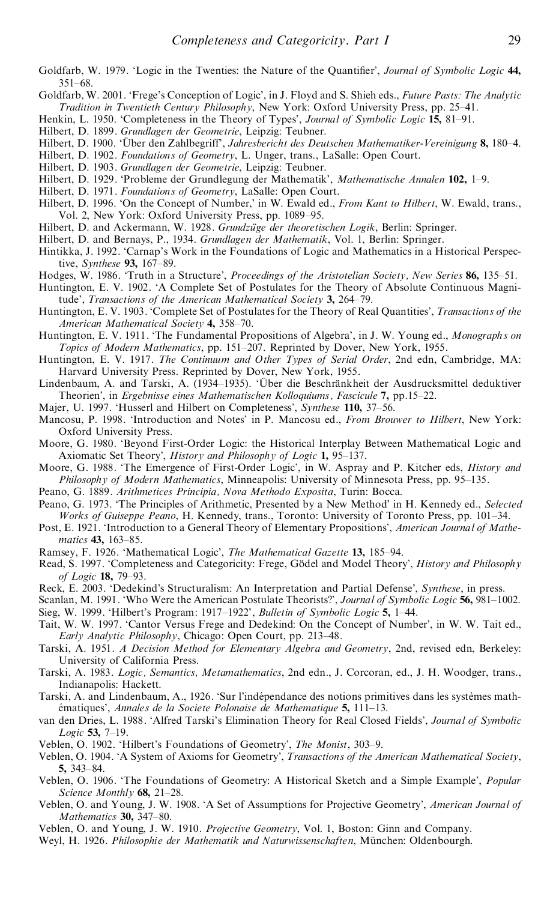- Goldfarb, W. 1979. 'Logic in the Twenties: the Nature of the Quantifier', *Journal of Symbolic Logic* 44,  $351-68.$
- Goldfarb, W. 2001. `Frege's Conception of Logic', in J. Floyd and S. Shieh eds., *Future Pasts: The Analytic Tradition in Twentieth Century Philosophy*, New York: Oxford University Press, pp. 25-41.
- Henkin, L. 1950. 'Completeness in the Theory of Types', *Journal of Symbolic Logic* 15, 81–91.
- Hilbert, D. 1899. *Grundlagen der Geometrie*, Leipzig: Teubner.
- Hilbert, D. 1900. `UÈ ber den Zahlbegriff', *Jahresbericht des Deutschen Mathematiker-Vereinigung* **8,** 180±4.
- Hilbert, D. 1902. *Foundations of Geometry*, L. Unger, trans., LaSalle: Open Court.
- Hilbert, D. 1903. *Grundlagen der Geometrie*, Leipzig: Teubner.
- Hilbert, D. 1929. `Probleme der Grundlegung der Mathematik', *Mathematische Annalen* **102,** 1±9.
- Hilbert, D. 1971. *Foundations of Geometry*, LaSalle: Open Court.
- Hilbert, D. 1996. `On the Concept of Number,' in W. Ewald ed., *From Kant to Hilbert*, W. Ewald, trans., Vol. 2, New York: Oxford University Press, pp. 1089–95.
- Hilbert, D. and Ackermann, W. 1928. *Grundzüge der theoretischen Logik*, Berlin: Springer.
- Hilbert, D. and Bernays, P., 1934. *Grundlagen der Mathematik*, Vol. 1, Berlin: Springer.
- Hintikka, J. 1992. `Carnap's Work in the Foundations of Logic and Mathematics in a Historical Perspective, *Synthese* 93, 167-89.
- Hodges, W. 1986. `Truth in a Structure', *Proceedings of the Aristotelian Society, New Series* **86,** 135±51.
- Huntington, E. V. 1902. `A Complete Set of Postulates for the Theory of Absolute Continuous Magnitude', *Transactions of the American Mathematical Society* **3,** 264±79.
- Huntington, E. V. 1903. `Complete Set of Postulates for the Theory of Real Quantities', *Transactions of the American Mathematical Society* **4,** 358±70.
- Huntington, E. V. 1911. `The Fundamental Propositions of Algebra', in J. W. Young ed., *Monographs on Topics of Modern Mathematics*, pp. 151–207. Reprinted by Dover, New York, 1955.
- Huntington, E. V. 1917. *The Continuum and Other Types of Serial Order*, 2nd edn, Cambridge, MA: Harvard University Press. Reprinted by Dover, New York, 1955.
- Lindenbaum, A. and Tarski, A. (1934–1935). 'Über die Beschränkheit der Ausdrucksmittel deduktiver Theorien', in *Ergebnisse eines Mathematischen Kolloquiums, Fascicule* **7,** pp.15±22.
- Majer, U. 1997. 'Husserl and Hilbert on Completeness', *Synthese* 110, 37–56.
- Mancosu, P. 1998. `Introduction and Notes' in P. Mancosu ed., *From Brouwer to Hilbert*, New York: Oxford University Press.
- Moore, G. 1980. `Beyond First-Order Logic: the Historical Interplay Between Mathematical Logic and Axiomatic Set Theory', *History and Philosophy of Logic* 1, 95–137.
- Moore, G. 1988. `The Emergence of First-Order Logic', in W. Aspray and P. Kitcher eds, *History and Philosophy of Modern Mathematics*, Minneapolis: University of Minnesota Press, pp. 95-135.
- Peano, G. 1889. *Arithmetices Principia, Nova Methodo Exposita*, Turin: Bocca.
- Peano, G. 1973. `The Principles of Arithmetic, Presented by a New Method' in H. Kennedy ed., *Selected Works of Guiseppe Peano, H. Kennedy, trans., Toronto: University of Toronto Press, pp. 101-34.*
- Post, E. 1921. `Introduction to a General Theory of Elementary Propositions', *American Journal of Mathematics* **43,** 163-85.
- Ramsey, F. 1926. `Mathematical Logic', *The Mathematical Gazette* **13,** 185±94.
- Read, S. 1997. 'Completeness and Categoricity: Frege, Gödel and Model Theory', *History and Philosophy of Logic* **18,** 79±93.
- Reck, E. 2003. `Dedekind's Structuralism: An Interpretation and Partial Defense', *Synthese*, in press.
- Scanlan, M. 1991. `Who Were the American Postulate Theorists?', *Journal of Symbolic Logic* **56,** 981±1002. Sieg, W. 1999. 'Hilbert's Program: 1917-1922', *Bulletin of Symbolic Logic* 5, 1-44.
- Tait, W. W. 1997. 'Cantor Versus Frege and Dedekind: On the Concept of Number', in W. W. Tait ed., *Early Analytic Philosophy*, Chicago: Open Court, pp. 213–48.
- Tarski, A. 1951. *A Decision Method for Elementary Algebra and Geometry*, 2nd, revised edn, Berkeley: University of California Press.
- Tarski, A. 1983. *Logic, Semantics, Metamathematics*, 2nd edn., J. Corcoran, ed., J. H. Woodger, trans., Indianapolis: Hackett.
- Tarski, A. and Lindenbaum, A., 1926. 'Sur l'indépendance des notions primitives dans les systèmes matheÂmatiques', *Annales de la Societe Polonaise de Mathematique* **5,** 111±13.
- van den Dries, L. 1988. `Alfred Tarski's Elimination Theory for Real Closed Fields', *Journal of Symbolic Logic* **53,** 7±19.
- Veblen, O. 1902. `Hilbert's Foundations of Geometry', *The Monist*, 303±9.
- Veblen, O. 1904. `A System of Axioms for Geometry', *Transactions of the American Mathematical Society*, **5,** 343–84.
- Veblen, O. 1906. `The Foundations of Geometry: A Historical Sketch and a Simple Example', *Popular Science Monthly* 68, 21-28.
- Veblen, O. and Young, J. W. 1908. `A Set of Assumptions for Projective Geometry', *American Journal of Mathematics* **30,** 347-80.
- Veblen, O. and Young, J. W. 1910. *Projective Geometry*, Vol. 1, Boston: Ginn and Company.
- Weyl, H. 1926. Philosophie der Mathematik und Naturwissenschaften, München: Oldenbourgh.